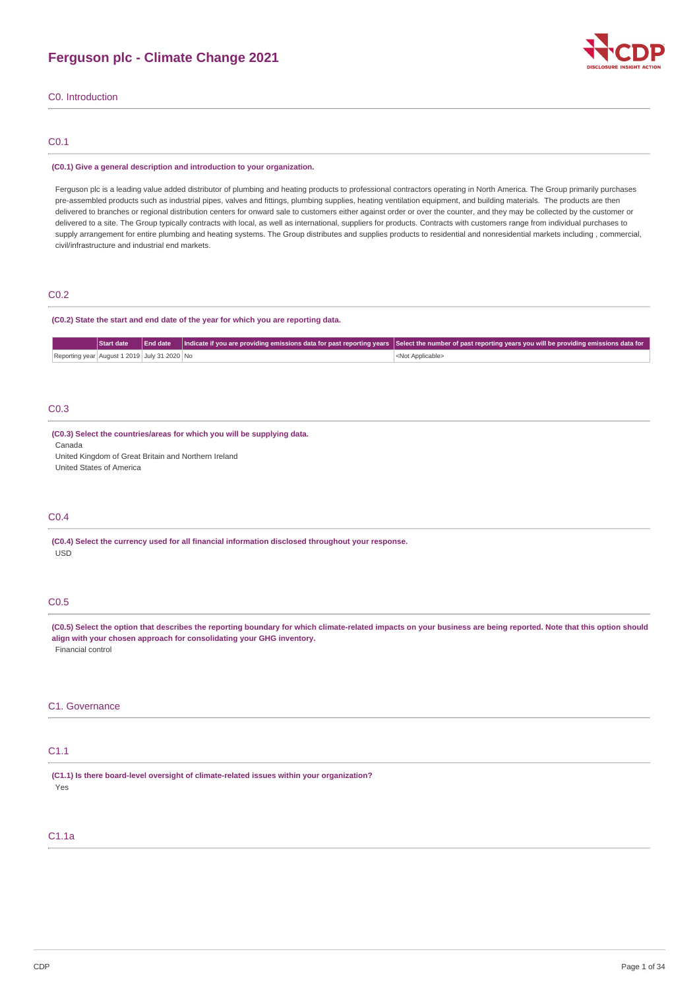

C0. Introduction

# C0.1

#### **(C0.1) Give a general description and introduction to your organization.**

Ferguson plc is a leading value added distributor of plumbing and heating products to professional contractors operating in North America. The Group primarily purchases pre-assembled products such as industrial pipes, valves and fittings, plumbing supplies, heating ventilation equipment, and building materials. The products are then delivered to branches or regional distribution centers for onward sale to customers either against order or over the counter, and they may be collected by the customer or delivered to a site. The Group typically contracts with local, as well as international, suppliers for products. Contracts with customers range from individual purchases to supply arrangement for entire plumbing and heating systems. The Group distributes and supplies products to residential and nonresidential markets including, commercial, civil/infrastructure and industrial end markets.

# C0.2

### **(C0.2) State the start and end date of the year for which you are reporting data.**

|                                              | Start date |  | End date   Indicate if you are providing emissions data for past reporting years   Select the number of past reporting years you will be providing emissions data for |
|----------------------------------------------|------------|--|-----------------------------------------------------------------------------------------------------------------------------------------------------------------------|
| Reporting year August 1 2019 July 31 2020 No |            |  | <not applicable=""></not>                                                                                                                                             |

# C0.3

### **(C0.3) Select the countries/areas for which you will be supplying data.**

Canada United Kingdom of Great Britain and Northern Ireland

United States of America

### C0.4

**(C0.4) Select the currency used for all financial information disclosed throughout your response.** USD

# C0.5

(C0.5) Select the option that describes the reporting boundary for which climate-related impacts on your business are being reported. Note that this option should **align with your chosen approach for consolidating your GHG inventory.** Financial control

## C1. Governance

# C1.1

**(C1.1) Is there board-level oversight of climate-related issues within your organization?** Yes

# C1.1a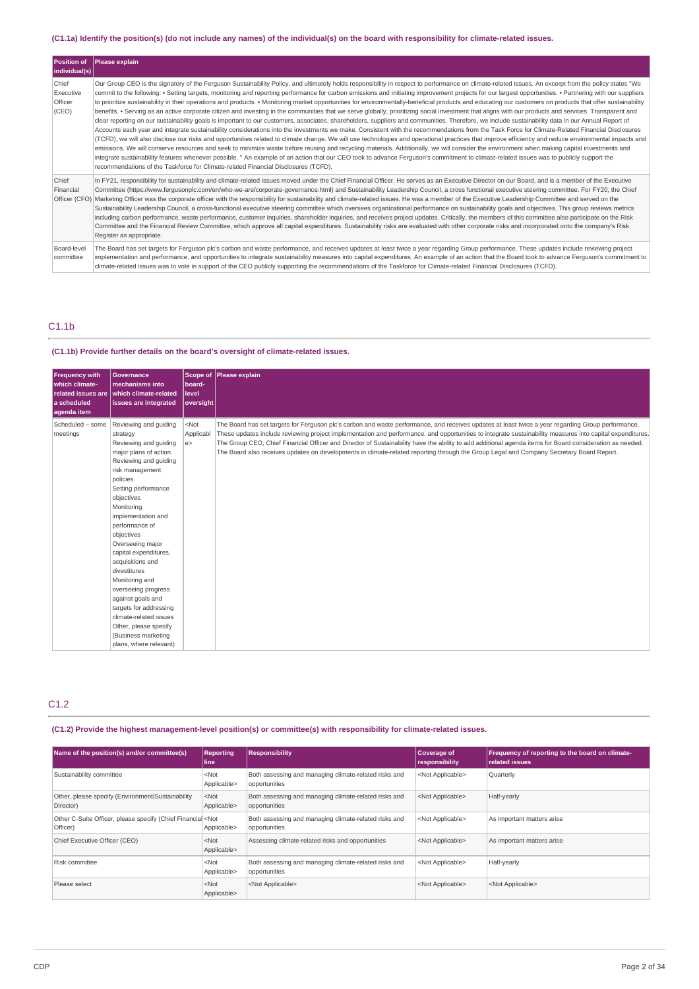# (C1.1a) Identify the position(s) (do not include any names) of the individual(s) on the board with responsibility for climate-related issues.

| Position of<br>$ $ individual(s) $ $   | Please explain                                                                                                                                                                                                                                                                                                                                                                                                                                                                                                                                                                                                                                                                                                                                                                                                                                                                                                                                                                                                                                                                                                                                                                                                                                                                                                                                                                                                                                                                                                                                                                                                                                                                                                                                                                                                                                                                                                                          |
|----------------------------------------|-----------------------------------------------------------------------------------------------------------------------------------------------------------------------------------------------------------------------------------------------------------------------------------------------------------------------------------------------------------------------------------------------------------------------------------------------------------------------------------------------------------------------------------------------------------------------------------------------------------------------------------------------------------------------------------------------------------------------------------------------------------------------------------------------------------------------------------------------------------------------------------------------------------------------------------------------------------------------------------------------------------------------------------------------------------------------------------------------------------------------------------------------------------------------------------------------------------------------------------------------------------------------------------------------------------------------------------------------------------------------------------------------------------------------------------------------------------------------------------------------------------------------------------------------------------------------------------------------------------------------------------------------------------------------------------------------------------------------------------------------------------------------------------------------------------------------------------------------------------------------------------------------------------------------------------------|
| Chief<br>Executive<br>Officer<br>(CEO) | Our Group CEO is the signatory of the Ferguson Sustainability Policy, and ultimately holds responsibility in respect to performance on climate-related issues. An excerpt from the policy states "We<br>commit to the following: • Setting targets, monitoring and reporting performance for carbon emissions and initiating improvement projects for our largest opportunities. • Partnering with our suppliers<br>to prioritize sustainability in their operations and products. • Monitoring market opportunities for environmentally-beneficial products and educating our customers on products that offer sustainability<br>benefits. • Serving as an active corporate citizen and investing in the communities that we serve globally, prioritizing social investment that aligns with our products and services. Transparent and<br>clear reporting on our sustainability goals is important to our customers, associates, shareholders, suppliers and communities. Therefore, we include sustainability data in our Annual Report of<br>Accounts each year and integrate sustainability considerations into the investments we make. Consistent with the recommendations from the Task Force for Climate-Related Financial Disclosures<br>(TCFD), we will also disclose our risks and opportunities related to climate change. We will use technologies and operational practices that improve efficiency and reduce environmental impacts and<br>emissions. We will conserve resources and seek to minimize waste before reusing and recycling materials. Additionally, we will consider the environment when making capital investments and<br>integrate sustainability features whenever possible. " An example of an action that our CEO took to advance Ferguson's commitment to climate-related issues was to publicly support the<br>recommendations of the Taskforce for Climate-related Financial Disclosures (TCFD). |
| Chief<br>Financial<br>Officer (CFO)    | In FY21, responsibility for sustainability and climate-related issues moved under the Chief Financial Officer. He serves as an Executive Director on our Board, and is a member of the Executive<br>Committee (https://www.ferqusonplc.com/en/who-we-are/corporate-qovernance.html) and Sustainability Leadership Council, a cross functional executive steering committee. For FY20, the Chief<br>Marketing Officer was the corporate officer with the responsibility for sustainability and climate-related issues. He was a member of the Executive Leadership Committee and served on the<br>Sustainability Leadership Council, a cross-functional executive steering committee which oversees organizational performance on sustainability goals and objectives. This group reviews metrics<br>including carbon performance, waste performance, customer inquiries, shareholder inquiries, and receives project updates. Critically, the members of this committee also participate on the Risk<br>Committee and the Financial Review Committee, which approve all capital expenditures. Sustainability risks are evaluated with other corporate risks and incorporated onto the company's Risk<br>Register as appropriate.                                                                                                                                                                                                                                                                                                                                                                                                                                                                                                                                                                                                                                                                                                        |
| Board-level<br>committee               | The Board has set targets for Ferguson plc's carbon and waste performance, and receives updates at least twice a year regarding Group performance. These updates include reviewing project<br>implementation and performance, and opportunities to integrate sustainability measures into capital expenditures. An example of an action that the Board took to advance Ferguson's commitment to<br>climate-related issues was to vote in support of the CEO publicly supporting the recommendations of the Taskforce for Climate-related Financial Disclosures (TCFD).                                                                                                                                                                                                                                                                                                                                                                                                                                                                                                                                                                                                                                                                                                                                                                                                                                                                                                                                                                                                                                                                                                                                                                                                                                                                                                                                                                  |

# C1.1b

# **(C1.1b) Provide further details on the board's oversight of climate-related issues.**

| Frequency with<br>which climate-<br>a scheduled<br>aqenda item | Governance<br>mechanisms into<br>related issues are which climate-related<br>issues are integrated                                                                                                                                                                                                                                                                                                                                                                                                                                | board-<br>level<br>oversight | Scope of Please explain                                                                                                                                                                                                                                                                                                                                                                                                                                                                                                                                                                                                 |
|----------------------------------------------------------------|-----------------------------------------------------------------------------------------------------------------------------------------------------------------------------------------------------------------------------------------------------------------------------------------------------------------------------------------------------------------------------------------------------------------------------------------------------------------------------------------------------------------------------------|------------------------------|-------------------------------------------------------------------------------------------------------------------------------------------------------------------------------------------------------------------------------------------------------------------------------------------------------------------------------------------------------------------------------------------------------------------------------------------------------------------------------------------------------------------------------------------------------------------------------------------------------------------------|
| Scheduled - some<br>meetings                                   | Reviewing and quiding<br>strategy<br>Reviewing and quiding<br>major plans of action<br>Reviewing and quiding<br>risk management<br>policies<br>Setting performance<br>objectives<br>Monitoring<br>implementation and<br>performance of<br>objectives<br>Overseeing major<br>capital expenditures,<br>acquisitions and<br>divestitures<br>Monitoring and<br>overseeing progress<br>against goals and<br>targets for addressing<br>climate-related issues<br>Other, please specify<br>(Business marketing<br>plans, where relevant) | $<$ Not<br>Applicabl<br>e    | The Board has set targets for Ferguson plc's carbon and waste performance, and receives updates at least twice a year regarding Group performance.<br>These updates include reviewing project implementation and performance, and opportunities to integrate sustainability measures into capital expenditures.<br>The Group CEO, Chief Financial Officer and Director of Sustainability have the ability to add additional agenda items for Board consideration as needed.<br>The Board also receives updates on developments in climate-related reporting through the Group Legal and Company Secretary Board Report. |

# C1.2

# **(C1.2) Provide the highest management-level position(s) or committee(s) with responsibility for climate-related issues.**

| Name of the position(s) and/or committee(s)                                      | <b>Reporting</b><br>line | <b>Responsibility</b>                                                  | <b>Coverage of</b><br>responsibility | Frequency of reporting to the board on climate-<br><b>related issues</b> |
|----------------------------------------------------------------------------------|--------------------------|------------------------------------------------------------------------|--------------------------------------|--------------------------------------------------------------------------|
| Sustainability committee                                                         | $<$ Not<br>Applicable>   | Both assessing and managing climate-related risks and<br>opportunities | <not applicable=""></not>            | Quarterly                                                                |
| Other, please specify (Environment/Sustainability<br>Director)                   | $<$ Not<br>Applicable>   | Both assessing and managing climate-related risks and<br>opportunities | <not applicable=""></not>            | Half-yearly                                                              |
| Other C-Suite Officer, please specify (Chief Financial <not<br>Officer)</not<br> | Applicable>              | Both assessing and managing climate-related risks and<br>opportunities | <not applicable=""></not>            | As important matters arise                                               |
| Chief Executive Officer (CEO)                                                    | $<$ Not<br>Applicable>   | Assessing climate-related risks and opportunities                      | <not applicable=""></not>            | As important matters arise                                               |
| Risk committee                                                                   | $<$ Not<br>Applicable>   | Both assessing and managing climate-related risks and<br>opportunities | <not applicable=""></not>            | Half-yearly                                                              |
| Please select                                                                    | $<$ Not<br>Applicable>   | <not applicable=""></not>                                              | <not applicable=""></not>            | <not applicable=""></not>                                                |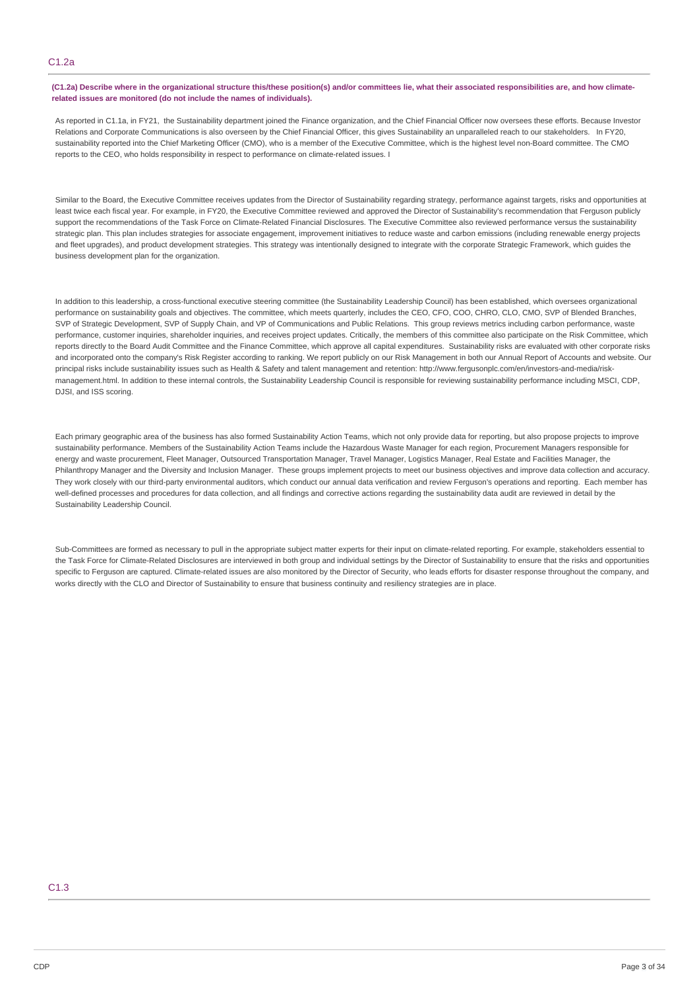# C1.2a

## (C1.2a) Describe where in the organizational structure this/these position(s) and/or committees lie, what their associated responsibilities are, and how climate**related issues are monitored (do not include the names of individuals).**

As reported in C1.1a, in FY21, the Sustainability department joined the Finance organization, and the Chief Financial Officer now oversees these efforts. Because Investor Relations and Corporate Communications is also overseen by the Chief Financial Officer, this gives Sustainability an unparalleled reach to our stakeholders. In FY20, sustainability reported into the Chief Marketing Officer (CMO), who is a member of the Executive Committee, which is the highest level non-Board committee. The CMO reports to the CEO, who holds responsibility in respect to performance on climate-related issues. I

Similar to the Board, the Executive Committee receives updates from the Director of Sustainability regarding strategy, performance against targets, risks and opportunities at least twice each fiscal year. For example, in FY20, the Executive Committee reviewed and approved the Director of Sustainability's recommendation that Ferguson publicly support the recommendations of the Task Force on Climate-Related Financial Disclosures. The Executive Committee also reviewed performance versus the sustainability strategic plan. This plan includes strategies for associate engagement, improvement initiatives to reduce waste and carbon emissions (including renewable energy projects and fleet upgrades), and product development strategies. This strategy was intentionally designed to integrate with the corporate Strategic Framework, which guides the business development plan for the organization.

In addition to this leadership, a cross-functional executive steering committee (the Sustainability Leadership Council) has been established, which oversees organizational performance on sustainability goals and objectives. The committee, which meets quarterly, includes the CEO, CFO, COO, CHRO, CLO, CMO, SVP of Blended Branches, SVP of Strategic Development, SVP of Supply Chain, and VP of Communications and Public Relations. This group reviews metrics including carbon performance, waste performance, customer inquiries, shareholder inquiries, and receives project updates. Critically, the members of this committee also participate on the Risk Committee, which reports directly to the Board Audit Committee and the Finance Committee, which approve all capital expenditures. Sustainability risks are evaluated with other corporate risks and incorporated onto the company's Risk Register according to ranking. We report publicly on our Risk Management in both our Annual Report of Accounts and website. Our principal risks include sustainability issues such as Health & Safety and talent management and retention: http://www.fergusonplc.com/en/investors-and-media/riskmanagement.html. In addition to these internal controls, the Sustainability Leadership Council is responsible for reviewing sustainability performance including MSCI, CDP, DJSI, and ISS scoring.

Each primary geographic area of the business has also formed Sustainability Action Teams, which not only provide data for reporting, but also propose projects to improve sustainability performance. Members of the Sustainability Action Teams include the Hazardous Waste Manager for each region, Procurement Managers responsible for energy and waste procurement, Fleet Manager, Outsourced Transportation Manager, Travel Manager, Logistics Manager, Real Estate and Facilities Manager, the Philanthropy Manager and the Diversity and Inclusion Manager. These groups implement projects to meet our business objectives and improve data collection and accuracy. They work closely with our third-party environmental auditors, which conduct our annual data verification and review Ferguson's operations and reporting. Each member has well-defined processes and procedures for data collection, and all findings and corrective actions regarding the sustainability data audit are reviewed in detail by the Sustainability Leadership Council.

Sub-Committees are formed as necessary to pull in the appropriate subject matter experts for their input on climate-related reporting. For example, stakeholders essential to the Task Force for Climate-Related Disclosures are interviewed in both group and individual settings by the Director of Sustainability to ensure that the risks and opportunities specific to Ferguson are captured. Climate-related issues are also monitored by the Director of Security, who leads efforts for disaster response throughout the company, and works directly with the CLO and Director of Sustainability to ensure that business continuity and resiliency strategies are in place.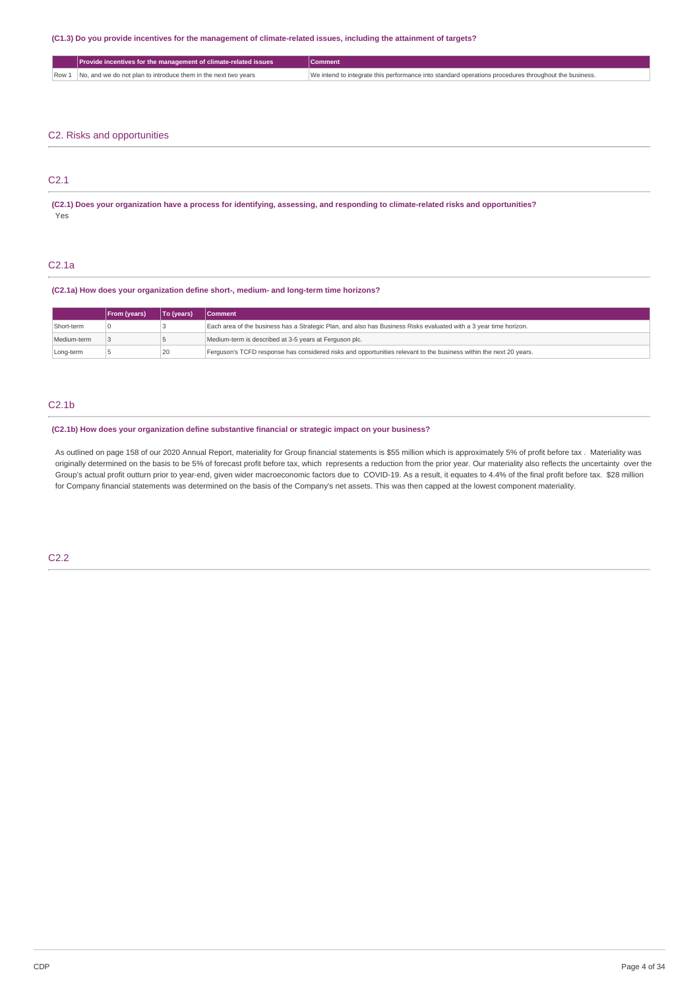# (C1.3) Do you provide incentives for the management of climate-related issues, including the attainment of targets?

| Provide incentives for the management of climate-related issues      | Comment                                                                                              |
|----------------------------------------------------------------------|------------------------------------------------------------------------------------------------------|
| Row 1 No, and we do not plan to introduce them in the next two years | We intend to integrate this performance into standard operations procedures throughout the business. |
|                                                                      |                                                                                                      |

# C2. Risks and opportunities

# C2.1

(C2.1) Does your organization have a process for identifying, assessing, and responding to climate-related risks and opportunities? Yes

# C2.1a

# **(C2.1a) How does your organization define short-, medium- and long-term time horizons?**

|             | <b>From (years)</b> | To (years) | <b>Comment</b>                                                                                                     |
|-------------|---------------------|------------|--------------------------------------------------------------------------------------------------------------------|
| Short-term  |                     |            | Each area of the business has a Strategic Plan, and also has Business Risks evaluated with a 3 year time horizon.  |
| Medium-term |                     |            | Medium-term is described at 3-5 years at Ferguson plc.                                                             |
| Long-term   |                     | 20         | Ferguson's TCFD response has considered risks and opportunities relevant to the business within the next 20 years. |

# C2.1b

# **(C2.1b) How does your organization define substantive financial or strategic impact on your business?**

As outlined on page 158 of our 2020 Annual Report, materiality for Group financial statements is \$55 million which is approximately 5% of profit before tax . Materiality was originally determined on the basis to be 5% of forecast profit before tax, which represents a reduction from the prior year. Our materiality also reflects the uncertainty over the Group's actual profit outturn prior to year-end, given wider macroeconomic factors due to COVID-19. As a result, it equates to 4.4% of the final profit before tax. \$28 million for Company financial statements was determined on the basis of the Company's net assets. This was then capped at the lowest component materiality.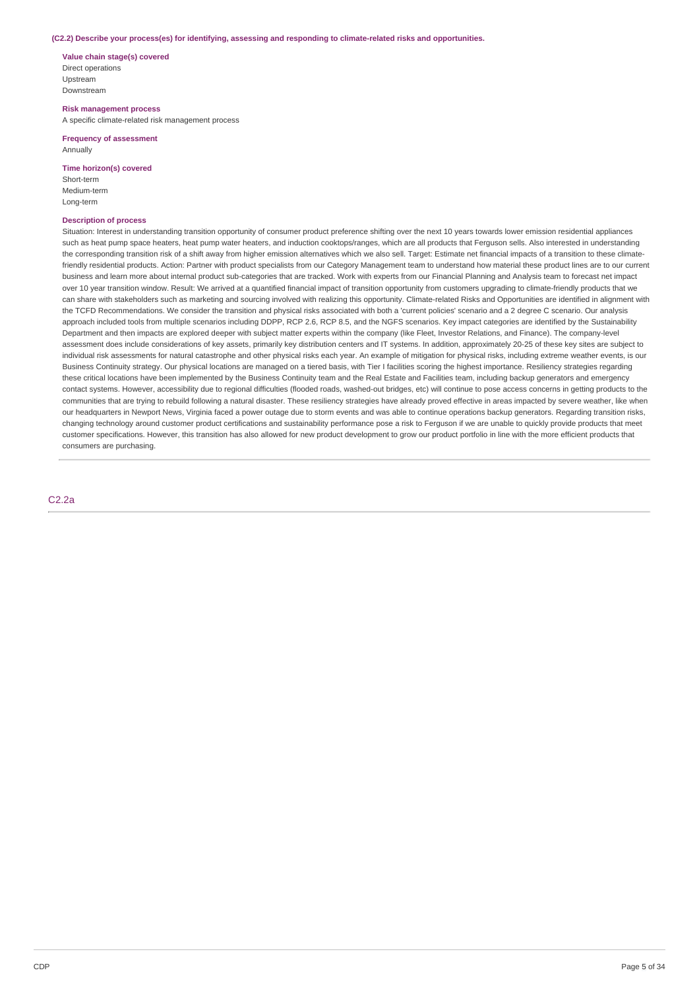#### **(C2.2) Describe your process(es) for identifying, assessing and responding to climate-related risks and opportunities.**

**Value chain stage(s) covered** Direct operations Upstream Downstream

**Risk management process** A specific climate-related risk management process

**Frequency of assessment** Annually

**Time horizon(s) covered** Short-term

Medium-term Long-term

# **Description of process**

Situation: Interest in understanding transition opportunity of consumer product preference shifting over the next 10 years towards lower emission residential appliances such as heat pump space heaters, heat pump water heaters, and induction cooktops/ranges, which are all products that Ferguson sells. Also interested in understanding the corresponding transition risk of a shift away from higher emission alternatives which we also sell. Target: Estimate net financial impacts of a transition to these climatefriendly residential products. Action: Partner with product specialists from our Category Management team to understand how material these product lines are to our current business and learn more about internal product sub-categories that are tracked. Work with experts from our Financial Planning and Analysis team to forecast net impact over 10 year transition window. Result: We arrived at a quantified financial impact of transition opportunity from customers upgrading to climate-friendly products that we can share with stakeholders such as marketing and sourcing involved with realizing this opportunity. Climate-related Risks and Opportunities are identified in alignment with the TCFD Recommendations. We consider the transition and physical risks associated with both a 'current policies' scenario and a 2 degree C scenario. Our analysis approach included tools from multiple scenarios including DDPP, RCP 2.6, RCP 8.5, and the NGFS scenarios. Key impact categories are identified by the Sustainability Department and then impacts are explored deeper with subject matter experts within the company (like Fleet, Investor Relations, and Finance). The company-level assessment does include considerations of key assets, primarily key distribution centers and IT systems. In addition, approximately 20-25 of these key sites are subject to individual risk assessments for natural catastrophe and other physical risks each year. An example of mitigation for physical risks, including extreme weather events, is our Business Continuity strategy. Our physical locations are managed on a tiered basis, with Tier I facilities scoring the highest importance. Resiliency strategies regarding these critical locations have been implemented by the Business Continuity team and the Real Estate and Facilities team, including backup generators and emergency contact systems. However, accessibility due to regional difficulties (flooded roads, washed-out bridges, etc) will continue to pose access concerns in getting products to the communities that are trying to rebuild following a natural disaster. These resiliency strategies have already proved effective in areas impacted by severe weather, like when our headquarters in Newport News, Virginia faced a power outage due to storm events and was able to continue operations backup generators. Regarding transition risks, changing technology around customer product certifications and sustainability performance pose a risk to Ferguson if we are unable to quickly provide products that meet customer specifications. However, this transition has also allowed for new product development to grow our product portfolio in line with the more efficient products that consumers are purchasing.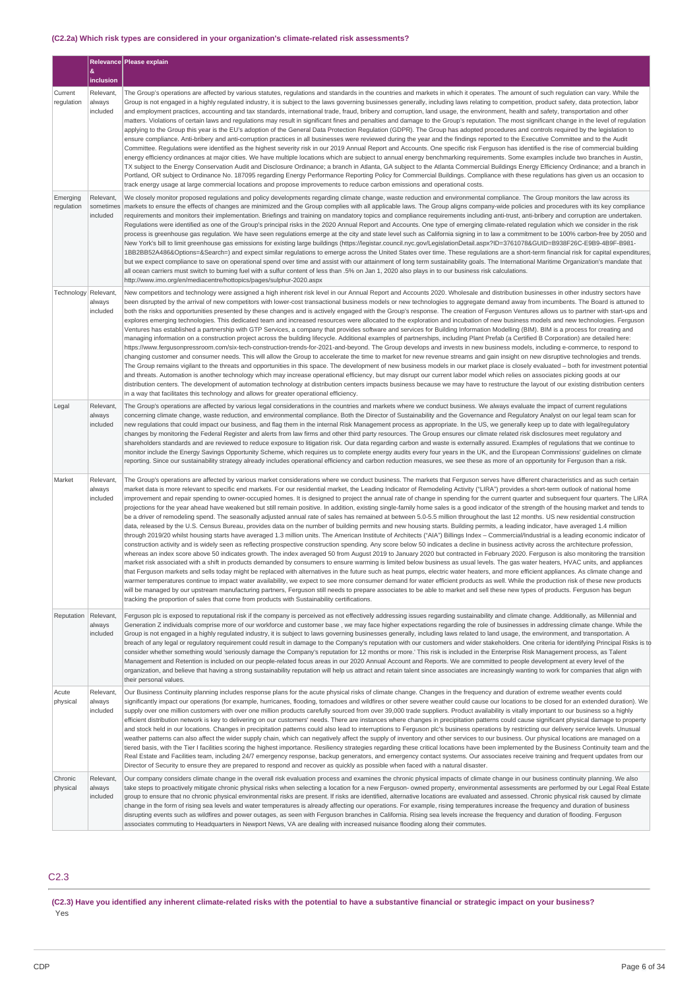# **(C2.2a) Which risk types are considered in your organization's climate-related risk assessments?**

|                        |                                    | Relevance Please explain                                                                                                                                                                                                                                                                                                                                                                                                                                                                                                                                                                                                                                                                                                                                                                                                                                                                                                                                                                                                                                                                                                                                                                                                                                                                                                                                                                                                                                                                                                                                                                                                                                                                                                                                                                                                                                                                                                                                                                                                                                                                                                                                                                                                                                                                                                                                                                                                                                                                                                                                                                                        |
|------------------------|------------------------------------|-----------------------------------------------------------------------------------------------------------------------------------------------------------------------------------------------------------------------------------------------------------------------------------------------------------------------------------------------------------------------------------------------------------------------------------------------------------------------------------------------------------------------------------------------------------------------------------------------------------------------------------------------------------------------------------------------------------------------------------------------------------------------------------------------------------------------------------------------------------------------------------------------------------------------------------------------------------------------------------------------------------------------------------------------------------------------------------------------------------------------------------------------------------------------------------------------------------------------------------------------------------------------------------------------------------------------------------------------------------------------------------------------------------------------------------------------------------------------------------------------------------------------------------------------------------------------------------------------------------------------------------------------------------------------------------------------------------------------------------------------------------------------------------------------------------------------------------------------------------------------------------------------------------------------------------------------------------------------------------------------------------------------------------------------------------------------------------------------------------------------------------------------------------------------------------------------------------------------------------------------------------------------------------------------------------------------------------------------------------------------------------------------------------------------------------------------------------------------------------------------------------------------------------------------------------------------------------------------------------------|
|                        | 8<br>inclusion                     |                                                                                                                                                                                                                                                                                                                                                                                                                                                                                                                                                                                                                                                                                                                                                                                                                                                                                                                                                                                                                                                                                                                                                                                                                                                                                                                                                                                                                                                                                                                                                                                                                                                                                                                                                                                                                                                                                                                                                                                                                                                                                                                                                                                                                                                                                                                                                                                                                                                                                                                                                                                                                 |
| Current<br>regulation  | Relevant,<br>always<br>included    | The Group's operations are affected by various statutes, regulations and standards in the countries and markets in which it operates. The amount of such regulation can vary. While the<br>Group is not engaged in a highly regulated industry, it is subject to the laws governing businesses generally, including laws relating to competition, product safety, data protection, labor<br>and employment practices, accounting and tax standards, international trade, fraud, bribery and corruption, land usage, the environment, health and safety, transportation and other<br>matters. Violations of certain laws and regulations may result in significant fines and penalties and damage to the Group's reputation. The most significant change in the level of regulation<br>applying to the Group this year is the EU's adoption of the General Data Protection Regulation (GDPR). The Group has adopted procedures and controls required by the legislation to<br>ensure compliance. Anti-bribery and anti-corruption practices in all businesses were reviewed during the year and the findings reported to the Executive Committee and to the Audit<br>Committee. Regulations were identified as the highest severity risk in our 2019 Annual Report and Accounts. One specific risk Ferguson has identified is the rise of commercial building<br>energy efficiency ordinances at major cities. We have multiple locations which are subject to annual energy benchmarking requirements. Some examples include two branches in Austin,<br>TX subject to the Energy Conservation Audit and Disclosure Ordinance; a branch in Atlanta, GA subject to the Atlanta Commercial Buildings Energy Efficiency Ordinance; and a branch in<br>Portland, OR subject to Ordinance No. 187095 regarding Energy Performance Reporting Policy for Commercial Buildings. Compliance with these regulations has given us an occasion to<br>track energy usage at large commercial locations and propose improvements to reduce carbon emissions and operational costs.                                                                                                                                                                                                                                                                                                                                                                                                                                                                                                                                             |
| Emerging<br>regulation | Relevant,<br>sometimes<br>included | We closely monitor proposed regulations and policy developments regarding climate change, waste reduction and environmental compliance. The Group monitors the law across its<br>markets to ensure the effects of changes are minimized and the Group complies with all applicable laws. The Group aligns company-wide policies and procedures with its key compliance<br>requirements and monitors their implementation. Briefings and training on mandatory topics and compliance requirements including anti-trust, anti-bribery and corruption are undertaken.<br>Regulations were identified as one of the Group's principal risks in the 2020 Annual Report and Accounts. One type of emerging climate-related regulation which we consider in the risk<br>process is greenhouse gas regulation. We have seen regulations emerge at the city and state level such as California signing in to law a commitment to be 100% carbon-free by 2050 and<br>New York's bill to limit greenhouse gas emissions for existing large buildings (https://legistar.council.nyc.gov/LegislationDetail.aspx?ID=3761078&GUID=B938F26C-E9B9-4B9F-B981-<br>1BB2BB52A486&Options=&Search=) and expect similar regulations to emerge across the United States over time. These regulations are a short-term financial risk for capital expenditures<br>but we expect compliance to save on operational spend over time and assist with our attainment of long term sustainability goals. The International Maritime Organization's mandate that<br>all ocean carriers must switch to burning fuel with a sulfur content of less than .5% on Jan 1, 2020 also plays in to our business risk calculations.<br>http://www.imo.org/en/mediacentre/hottopics/pages/sulphur-2020.aspx                                                                                                                                                                                                                                                                                                                                                                                                                                                                                                                                                                                                                                                                                                                                                                                                                                               |
| Technology             | Relevant<br>always<br>included     | New competitors and technology were assigned a high inherent risk level in our Annual Report and Accounts 2020. Wholesale and distribution businesses in other industry sectors have<br>been disrupted by the arrival of new competitors with lower-cost transactional business models or new technologies to aggregate demand away from incumbents. The Board is attuned to<br>both the risks and opportunities presented by these changes and is actively engaged with the Group's response. The creation of Ferguson Ventures allows us to partner with start-ups and<br>explores emerging technologies. This dedicated team and increased resources were allocated to the exploration and incubation of new business models and new technologies. Ferguson<br>Ventures has established a partnership with GTP Services, a company that provides software and services for Building Information Modelling (BIM). BIM is a process for creating and<br>managing information on a construction project across the building lifecycle. Additional examples of partnerships, including Plant Prefab (a Certified B Corporation) are detailed here:<br>https://www.fergusonpressroom.com/six-tech-construction-trends-for-2021-and-beyond. The Group develops and invests in new business models, including e-commerce, to respond to<br>changing customer and consumer needs. This will allow the Group to accelerate the time to market for new revenue streams and gain insight on new disruptive technologies and trends.<br>The Group remains vigilant to the threats and opportunities in this space. The development of new business models in our market place is closely evaluated - both for investment potential<br>and threats. Automation is another technology which may increase operational efficiency, but may disrupt our current labor model which relies on associates picking goods at our<br>distribution centers. The development of automation technology at distribution centers impacts business because we may have to restructure the layout of our existing distribution centers<br>in a way that facilitates this technology and allows for greater operational efficiency.                                                                                                                                                                                                                                                                                                                                                                                                         |
| Legal                  | Relevant,<br>always<br>included    | The Group's operations are affected by various legal considerations in the countries and markets where we conduct business. We always evaluate the impact of current regulations<br>concerning climate change, waste reduction, and environmental compliance. Both the Director of Sustainability and the Governance and Regulatory Analyst on our legal team scan for<br>new regulations that could impact our business, and flag them in the internal Risk Management process as appropriate. In the US, we generally keep up to date with legal/regulatory<br>changes by monitoring the Federal Register and alerts from law firms and other third party resources. The Group ensures our climate related risk disclosures meet regulatory and<br>shareholders standards and are reviewed to reduce exposure to litigation risk. Our data regarding carbon and waste is externally assured. Examples of regulations that we continue to<br>monitor include the Energy Savings Opportunity Scheme, which requires us to complete energy audits every four years in the UK, and the European Commissions' guidelines on climate<br>reporting. Since our sustainability strategy already includes operational efficiency and carbon reduction measures, we see these as more of an opportunity for Ferguson than a risk.                                                                                                                                                                                                                                                                                                                                                                                                                                                                                                                                                                                                                                                                                                                                                                                                                                                                                                                                                                                                                                                                                                                                                                                                                                                                                        |
| Market                 | Relevant,<br>always<br>included    | The Group's operations are affected by various market considerations where we conduct business. The markets that Ferguson serves have different characteristics and as such certain<br>market data is more relevant to specific end markets. For our residential market, the Leading Indicator of Remodeling Activity ("LIRA") provides a short-term outlook of national home<br>improvement and repair spending to owner-occupied homes. It is designed to project the annual rate of change in spending for the current quarter and subsequent four quarters. The LIRA<br>projections for the year ahead have weakened but still remain positive. In addition, existing single-family home sales is a good indicator of the strength of the housing market and tends to<br>be a driver of remodeling spend. The seasonally adjusted annual rate of sales has remained at between 5.0-5.5 million throughout the last 12 months. US new residential construction<br>data, released by the U.S. Census Bureau, provides data on the number of building permits and new housing starts. Building permits, a leading indicator, have averaged 1.4 million<br>through 2019/20 whilst housing starts have averaged 1.3 million units. The American Institute of Architects ("AIA") Billings Index - Commercial/Industrial is a leading economic indicator of<br>construction activity and is widely seen as reflecting prospective construction spending. Any score below 50 indicates a decline in business activity across the architecture profession,<br>whereas an index score above 50 indicates growth. The index averaged 50 from August 2019 to January 2020 but contracted in February 2020. Ferguson is also monitoring the transition<br>market risk associated with a shift in products demanded by consumers to ensure warming is limited below business as usual levels. The gas water heaters, HVAC units, and appliances<br>that Ferguson markets and sells today might be replaced with alternatives in the future such as heat pumps, electric water heaters, and more efficient appliances. As climate change and<br>warmer temperatures continue to impact water availability, we expect to see more consumer demand for water efficient products as well. While the production risk of these new products<br>will be managed by our upstream manufacturing partners, Ferguson still needs to prepare associates to be able to market and sell these new types of products. Ferguson has begun<br>tracking the proportion of sales that come from products with Sustainability certifications. |
| Reputation             | Relevant.<br>always<br>included    | Ferguson plc is exposed to reputational risk if the company is perceived as not effectively addressing issues regarding sustainability and climate change. Additionally, as Millennial and<br>Generation Z individuals comprise more of our workforce and customer base, we may face higher expectations regarding the role of businesses in addressing climate change. While the<br>Group is not engaged in a highly regulated industry, it is subject to laws governing businesses generally, including laws related to land usage, the environment, and transportation. A<br>breach of any legal or regulatory requirement could result in damage to the Company's reputation with our customers and wider stakeholders. One criteria for identifying Principal Risks is to<br>consider whether something would 'seriously damage the Company's reputation for 12 months or more.' This risk is included in the Enterprise Risk Management process, as Talent<br>Management and Retention is included on our people-related focus areas in our 2020 Annual Account and Reports. We are committed to people development at every level of the<br>organization, and believe that having a strong sustainability reputation will help us attract and retain talent since associates are increasingly wanting to work for companies that align with<br>their personal values.                                                                                                                                                                                                                                                                                                                                                                                                                                                                                                                                                                                                                                                                                                                                                                                                                                                                                                                                                                                                                                                                                                                                                                                                                                    |
| Acute<br>physical      | Relevant<br>always<br>included     | Our Business Continuity planning includes response plans for the acute physical risks of climate change. Changes in the frequency and duration of extreme weather events could<br>significantly impact our operations (for example, hurricanes, flooding, tornadoes and wildfires or other severe weather could cause our locations to be closed for an extended duration). We<br>supply over one million customers with over one million products carefully sourced from over 39,000 trade suppliers. Product availability is vitally important to our business so a highly<br>efficient distribution network is key to delivering on our customers' needs. There are instances where changes in precipitation patterns could cause significant physical damage to property<br>and stock held in our locations. Changes in precipitation patterns could also lead to interruptions to Ferguson plc's business operations by restricting our delivery service levels. Unusual<br>weather patterns can also affect the wider supply chain, which can negatively affect the supply of inventory and other services to our business. Our physical locations are managed on a<br>tiered basis, with the Tier I facilities scoring the highest importance. Resiliency strategies regarding these critical locations have been implemented by the Business Continuity team and the<br>Real Estate and Facilities team, including 24/7 emergency response, backup generators, and emergency contact systems. Our associates receive training and frequent updates from our<br>Director of Security to ensure they are prepared to respond and recover as quickly as possible when faced with a natural disaster.                                                                                                                                                                                                                                                                                                                                                                                                                                                                                                                                                                                                                                                                                                                                                                                                                                                                                                       |
| Chronic<br>physical    | Relevant,<br>always<br>included    | Our company considers climate change in the overall risk evaluation process and examines the chronic physical impacts of climate change in our business continuity planning. We also<br>take steps to proactively mitigate chronic physical risks when selecting a location for a new Ferguson- owned property, environmental assessments are performed by our Legal Real Estate<br>group to ensure that no chronic physical environmental risks are present. If risks are identified, alternative locations are evaluated and assessed. Chronic physical risk caused by climate<br>change in the form of rising sea levels and water temperatures is already affecting our operations. For example, rising temperatures increase the frequency and duration of business<br>disrupting events such as wildfires and power outages, as seen with Ferguson branches in California. Rising sea levels increase the frequency and duration of flooding. Ferguson<br>associates commuting to Headquarters in Newport News, VA are dealing with increased nuisance flooding along their commutes.                                                                                                                                                                                                                                                                                                                                                                                                                                                                                                                                                                                                                                                                                                                                                                                                                                                                                                                                                                                                                                                                                                                                                                                                                                                                                                                                                                                                                                                                                                                     |

# C2.3

(C2.3) Have you identified any inherent climate-related risks with the potential to have a substantive financial or strategic impact on your business? Yes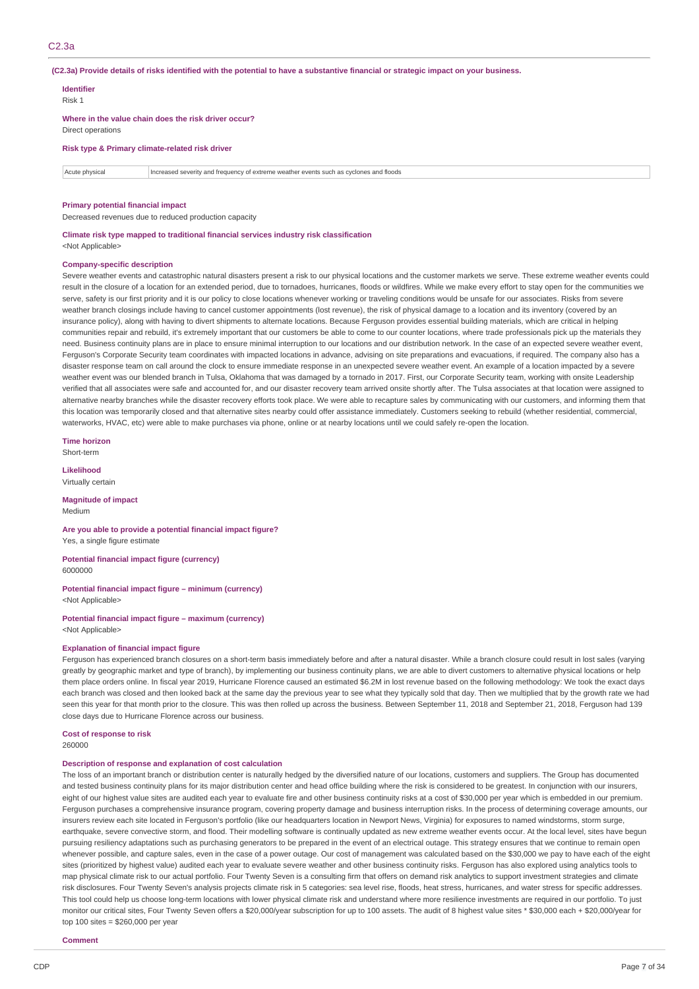(C2.3a) Provide details of risks identified with the potential to have a substantive financial or strategic impact on your business.

| <b>Identifier</b><br>Risk 1               |                                                                                        |
|-------------------------------------------|----------------------------------------------------------------------------------------|
| Direct operations                         | Where in the value chain does the risk driver occur?                                   |
|                                           | Risk type & Primary climate-related risk driver                                        |
| Acute physical                            | Increased severity and frequency of extreme weather events such as cyclones and floods |
| <b>Primary potential financial impact</b> |                                                                                        |

Decreased revenues due to reduced production capacity

**Climate risk type mapped to traditional financial services industry risk classification** <Not Applicable>

#### **Company-specific description**

Severe weather events and catastrophic natural disasters present a risk to our physical locations and the customer markets we serve. These extreme weather events could result in the closure of a location for an extended period, due to tornadoes, hurricanes, floods or wildfires. While we make every effort to stay open for the communities we serve, safety is our first priority and it is our policy to close locations whenever working or traveling conditions would be unsafe for our associates. Risks from severe weather branch closings include having to cancel customer appointments (lost revenue), the risk of physical damage to a location and its inventory (covered by an insurance policy), along with having to divert shipments to alternate locations. Because Ferguson provides essential building materials, which are critical in helping communities repair and rebuild, it's extremely important that our customers be able to come to our counter locations, where trade professionals pick up the materials they need. Business continuity plans are in place to ensure minimal interruption to our locations and our distribution network. In the case of an expected severe weather event Ferguson's Corporate Security team coordinates with impacted locations in advance, advising on site preparations and evacuations, if required. The company also has a disaster response team on call around the clock to ensure immediate response in an unexpected severe weather event. An example of a location impacted by a severe weather event was our blended branch in Tulsa, Oklahoma that was damaged by a tornado in 2017. First, our Corporate Security team, working with onsite Leadership verified that all associates were safe and accounted for, and our disaster recovery team arrived onsite shortly after. The Tulsa associates at that location were assigned to alternative nearby branches while the disaster recovery efforts took place. We were able to recapture sales by communicating with our customers, and informing them that this location was temporarily closed and that alternative sites nearby could offer assistance immediately. Customers seeking to rebuild (whether residential, commercial, waterworks, HVAC, etc) were able to make purchases via phone, online or at nearby locations until we could safely re-open the location.

**Time horizon** Short-term

**Likelihood** Virtually certain

**Magnitude of impact** Medium

### **Are you able to provide a potential financial impact figure?**

Yes, a single figure estimate

**Potential financial impact figure (currency)** 6000000

**Potential financial impact figure – minimum (currency)** <Not Applicable>

**Potential financial impact figure – maximum (currency)** <Not Applicable>

#### **Explanation of financial impact figure**

Ferguson has experienced branch closures on a short-term basis immediately before and after a natural disaster. While a branch closure could result in lost sales (varying greatly by geographic market and type of branch), by implementing our business continuity plans, we are able to divert customers to alternative physical locations or help them place orders online. In fiscal year 2019, Hurricane Florence caused an estimated \$6.2M in lost revenue based on the following methodology: We took the exact days each branch was closed and then looked back at the same day the previous year to see what they typically sold that day. Then we multiplied that by the growth rate we had seen this year for that month prior to the closure. This was then rolled up across the business. Between September 11, 2018 and September 21, 2018, Ferguson had 139 close days due to Hurricane Florence across our business.

**Cost of response to risk**

260000

#### **Description of response and explanation of cost calculation**

The loss of an important branch or distribution center is naturally hedged by the diversified nature of our locations, customers and suppliers. The Group has documented and tested business continuity plans for its major distribution center and head office building where the risk is considered to be greatest. In conjunction with our insurers, eight of our highest value sites are audited each year to evaluate fire and other business continuity risks at a cost of \$30,000 per year which is embedded in our premium. Ferguson purchases a comprehensive insurance program, covering property damage and business interruption risks. In the process of determining coverage amounts, our insurers review each site located in Ferguson's portfolio (like our headquarters location in Newport News, Virginia) for exposures to named windstorms, storm surge, earthquake, severe convective storm, and flood. Their modelling software is continually updated as new extreme weather events occur. At the local level, sites have begun pursuing resiliency adaptations such as purchasing generators to be prepared in the event of an electrical outage. This strategy ensures that we continue to remain open whenever possible, and capture sales, even in the case of a power outage. Our cost of management was calculated based on the \$30,000 we pay to have each of the eight sites (prioritized by highest value) audited each year to evaluate severe weather and other business continuity risks. Ferguson has also explored using analytics tools to map physical climate risk to our actual portfolio. Four Twenty Seven is a consulting firm that offers on demand risk analytics to support investment strategies and climate risk disclosures. Four Twenty Seven's analysis projects climate risk in 5 categories: sea level rise, floods, heat stress, hurricanes, and water stress for specific addresses. This tool could help us choose long-term locations with lower physical climate risk and understand where more resilience investments are required in our portfolio. To just monitor our critical sites, Four Twenty Seven offers a \$20,000/year subscription for up to 100 assets. The audit of 8 highest value sites \* \$30,000 each + \$20,000/year for top 100 sites = \$260,000 per year

**Comment**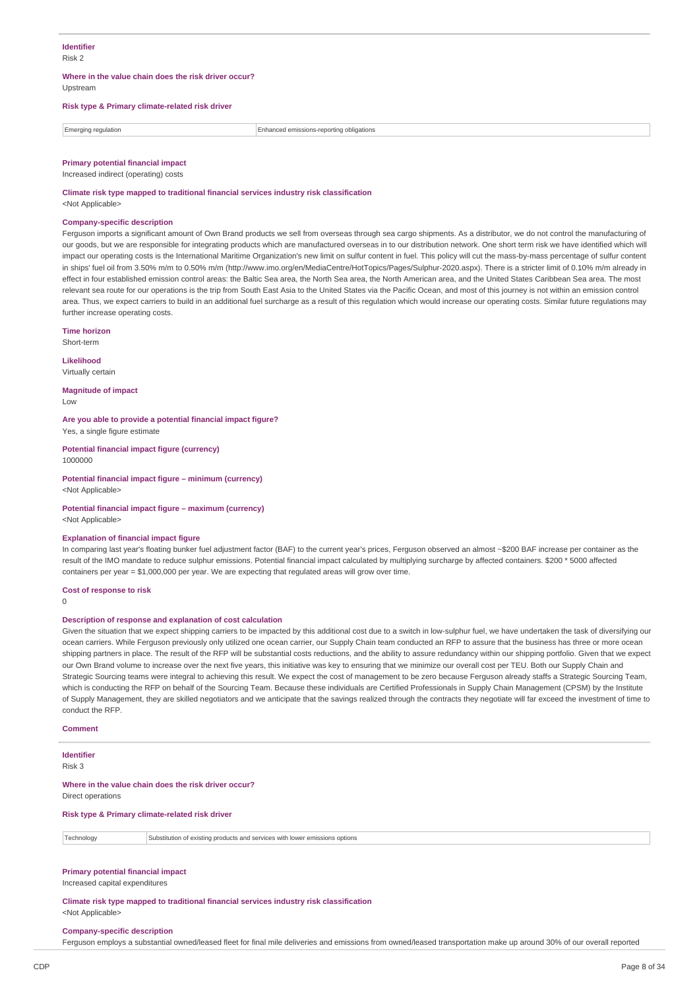### **Identifier** Risk 2

#### **Where in the value chain does the risk driver occur?** Upstream

# **Risk type & Primary climate-related risk driver**

Emerging regulation Enhanced emissions-reporting obligations

**Primary potential financial impact** Increased indirect (operating) costs

# **Climate risk type mapped to traditional financial services industry risk classification**

<Not Applicable>

## **Company-specific description**

Ferguson imports a significant amount of Own Brand products we sell from overseas through sea cargo shipments. As a distributor, we do not control the manufacturing of our goods, but we are responsible for integrating products which are manufactured overseas in to our distribution network. One short term risk we have identified which will impact our operating costs is the International Maritime Organization's new limit on sulfur content in fuel. This policy will cut the mass-by-mass percentage of sulfur content in ships' fuel oil from 3.50% m/m to 0.50% m/m (http://www.imo.org/en/MediaCentre/HotTopics/Pages/Sulphur-2020.aspx). There is a stricter limit of 0.10% m/m already in effect in four established emission control areas: the Baltic Sea area, the North Sea area, the North American area, and the United States Caribbean Sea area. The most relevant sea route for our operations is the trip from South East Asia to the United States via the Pacific Ocean, and most of this journey is not within an emission control area. Thus, we expect carriers to build in an additional fuel surcharge as a result of this regulation which would increase our operating costs. Similar future regulations may further increase operating costs.

**Time horizon**

Short-term

**Likelihood**

Virtually certain

**Magnitude of impact** Low

**Are you able to provide a potential financial impact figure?** Yes, a single figure estimate

**Potential financial impact figure (currency)** 1000000

**Potential financial impact figure – minimum (currency)** <Not Applicable>

# **Potential financial impact figure – maximum (currency)**

<Not Applicable>

### **Explanation of financial impact figure**

In comparing last year's floating bunker fuel adjustment factor (BAF) to the current year's prices, Ferguson observed an almost ~\$200 BAF increase per container as the result of the IMO mandate to reduce sulphur emissions. Potential financial impact calculated by multiplying surcharge by affected containers. \$200 \* 5000 affected containers per year = \$1,000,000 per year. We are expecting that regulated areas will grow over time.

#### **Cost of response to risk**

 $\Omega$ 

### **Description of response and explanation of cost calculation**

Given the situation that we expect shipping carriers to be impacted by this additional cost due to a switch in low-sulphur fuel, we have undertaken the task of diversifying our ocean carriers. While Ferguson previously only utilized one ocean carrier, our Supply Chain team conducted an RFP to assure that the business has three or more ocean shipping partners in place. The result of the RFP will be substantial costs reductions, and the ability to assure redundancy within our shipping portfolio. Given that we expect our Own Brand volume to increase over the next five years, this initiative was key to ensuring that we minimize our overall cost per TEU. Both our Supply Chain and Strategic Sourcing teams were integral to achieving this result. We expect the cost of management to be zero because Ferguson already staffs a Strategic Sourcing Team, which is conducting the RFP on behalf of the Sourcing Team. Because these individuals are Certified Professionals in Supply Chain Management (CPSM) by the Institute of Supply Management, they are skilled negotiators and we anticipate that the savings realized through the contracts they negotiate will far exceed the investment of time to conduct the RFP.

### **Comment**

### **Identifier**

Risk 3

**Where in the value chain does the risk driver occur?**

Direct operations

**Risk type & Primary climate-related risk driver**

Technology Substitution of existing products and services with lower emissions options

# **Primary potential financial impact**

Increased capital expenditures

**Climate risk type mapped to traditional financial services industry risk classification** <Not Applicable>

#### **Company-specific description**

Ferguson employs a substantial owned/leased fleet for final mile deliveries and emissions from owned/leased transportation make up around 30% of our overall reported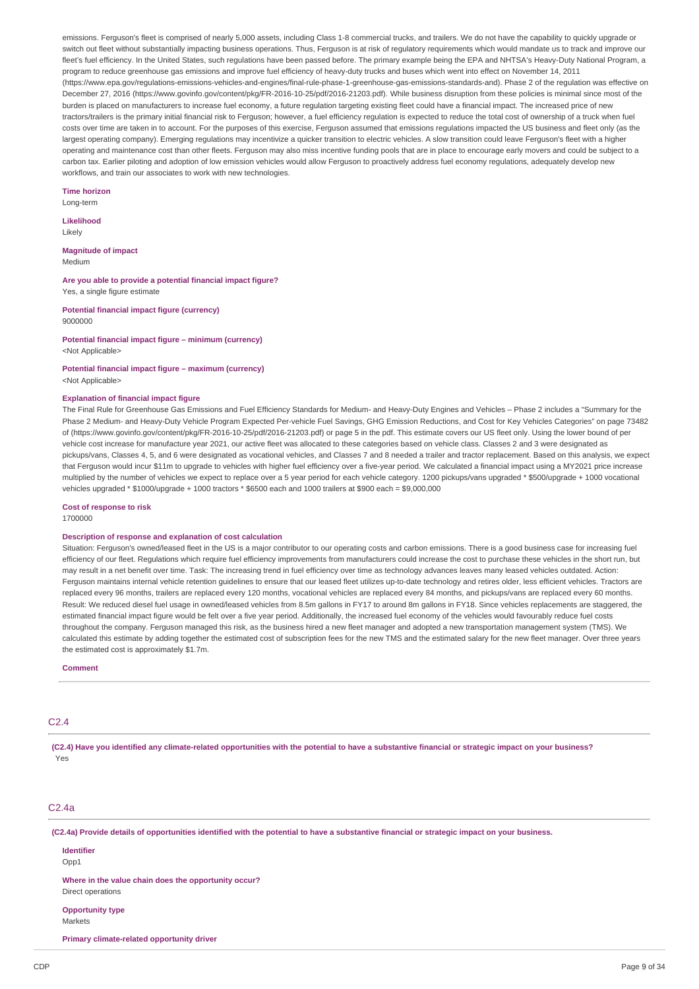emissions. Ferguson's fleet is comprised of nearly 5,000 assets, including Class 1-8 commercial trucks, and trailers. We do not have the capability to quickly upgrade or switch out fleet without substantially impacting business operations. Thus, Ferguson is at risk of regulatory requirements which would mandate us to track and improve our fleet's fuel efficiency. In the United States, such regulations have been passed before. The primary example being the EPA and NHTSA's Heavy-Duty National Program, a program to reduce greenhouse gas emissions and improve fuel efficiency of heavy-duty trucks and buses which went into effect on November 14, 2011 (https://www.epa.gov/regulations-emissions-vehicles-and-engines/final-rule-phase-1-greenhouse-gas-emissions-standards-and). Phase 2 of the regulation was effective on December 27, 2016 (https://www.govinfo.gov/content/pkg/FR-2016-10-25/pdf/2016-21203.pdf). While business disruption from these policies is minimal since most of the burden is placed on manufacturers to increase fuel economy, a future regulation targeting existing fleet could have a financial impact. The increased price of new tractors/trailers is the primary initial financial risk to Ferguson; however, a fuel efficiency regulation is expected to reduce the total cost of ownership of a truck when fuel costs over time are taken in to account. For the purposes of this exercise, Ferguson assumed that emissions regulations impacted the US business and fleet only (as the largest operating company). Emerging regulations may incentivize a quicker transition to electric vehicles. A slow transition could leave Ferguson's fleet with a higher operating and maintenance cost than other fleets. Ferguson may also miss incentive funding pools that are in place to encourage early movers and could be subject to a carbon tax. Earlier piloting and adoption of low emission vehicles would allow Ferguson to proactively address fuel economy regulations, adequately develop new workflows, and train our associates to work with new technologies.

**Time horizon** Long-term

### **Likelihood**

Likely

**Magnitude of impact** Medium

**Are you able to provide a potential financial impact figure?** Yes, a single figure estimate

**Potential financial impact figure (currency)** 9000000

**Potential financial impact figure – minimum (currency)** <Not Applicable>

**Potential financial impact figure – maximum (currency)** <Not Applicable>

### **Explanation of financial impact figure**

The Final Rule for Greenhouse Gas Emissions and Fuel Efficiency Standards for Medium- and Heavy-Duty Engines and Vehicles – Phase 2 includes a "Summary for the Phase 2 Medium- and Heavy-Duty Vehicle Program Expected Per-vehicle Fuel Savings, GHG Emission Reductions, and Cost for Key Vehicles Categories" on page 73482 of (https://www.govinfo.gov/content/pkg/FR-2016-10-25/pdf/2016-21203.pdf) or page 5 in the pdf. This estimate covers our US fleet only. Using the lower bound of per vehicle cost increase for manufacture year 2021, our active fleet was allocated to these categories based on vehicle class. Classes 2 and 3 were designated as pickups/vans, Classes 4, 5, and 6 were designated as vocational vehicles, and Classes 7 and 8 needed a trailer and tractor replacement. Based on this analysis, we expect that Ferguson would incur \$11m to upgrade to vehicles with higher fuel efficiency over a five-year period. We calculated a financial impact using a MY2021 price increase multiplied by the number of vehicles we expect to replace over a 5 year period for each vehicle category. 1200 pickups/vans upgraded \* \$500/upgrade + 1000 vocational vehicles upgraded \* \$1000/upgrade + 1000 tractors \* \$6500 each and 1000 trailers at \$900 each = \$9,000,000

**Cost of response to risk**

1700000

#### **Description of response and explanation of cost calculation**

Situation: Ferguson's owned/leased fleet in the US is a major contributor to our operating costs and carbon emissions. There is a good business case for increasing fuel efficiency of our fleet. Regulations which require fuel efficiency improvements from manufacturers could increase the cost to purchase these vehicles in the short run, but may result in a net benefit over time. Task: The increasing trend in fuel efficiency over time as technology advances leaves many leased vehicles outdated. Action: Ferguson maintains internal vehicle retention guidelines to ensure that our leased fleet utilizes up-to-date technology and retires older, less efficient vehicles. Tractors are replaced every 96 months, trailers are replaced every 120 months, vocational vehicles are replaced every 84 months, and pickups/vans are replaced every 60 months. Result: We reduced diesel fuel usage in owned/leased vehicles from 8.5m gallons in FY17 to around 8m gallons in FY18. Since vehicles replacements are staggered, the estimated financial impact figure would be felt over a five year period. Additionally, the increased fuel economy of the vehicles would favourably reduce fuel costs throughout the company. Ferguson managed this risk, as the business hired a new fleet manager and adopted a new transportation management system (TMS). We calculated this estimate by adding together the estimated cost of subscription fees for the new TMS and the estimated salary for the new fleet manager. Over three years the estimated cost is approximately \$1.7m.

**Comment**

# $C<sub>2</sub>$  4

(C2.4) Have you identified any climate-related opportunities with the potential to have a substantive financial or strategic impact on your business? Yes

# C2.4a

(C2.4a) Provide details of opportunities identified with the potential to have a substantive financial or strategic impact on your business.

**Identifier** Opp<sub>1</sub>

**Where in the value chain does the opportunity occur?** Direct operations

**Opportunity type**

Markets

**Primary climate-related opportunity driver**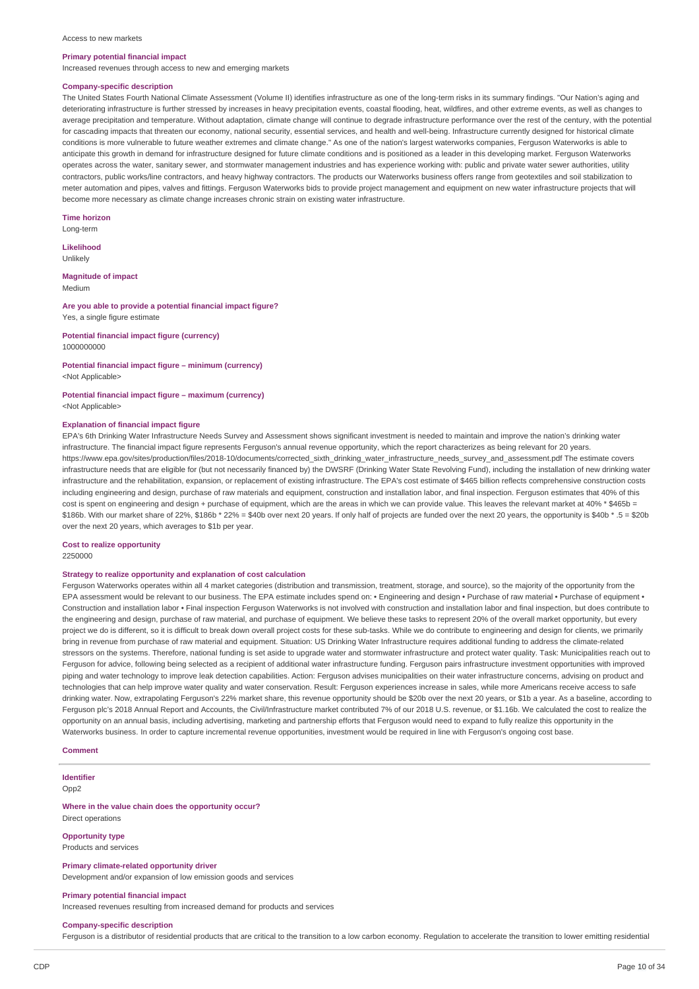#### Access to new markets

#### **Primary potential financial impact**

Increased revenues through access to new and emerging markets

#### **Company-specific description**

The United States Fourth National Climate Assessment (Volume II) identifies infrastructure as one of the long-term risks in its summary findings. "Our Nation's aging and deteriorating infrastructure is further stressed by increases in heavy precipitation events, coastal flooding, heat, wildfires, and other extreme events, as well as changes to average precipitation and temperature. Without adaptation, climate change will continue to degrade infrastructure performance over the rest of the century, with the potential for cascading impacts that threaten our economy, national security, essential services, and health and well-being. Infrastructure currently designed for historical climate conditions is more vulnerable to future weather extremes and climate change." As one of the nation's largest waterworks companies, Ferguson Waterworks is able to anticipate this growth in demand for infrastructure designed for future climate conditions and is positioned as a leader in this developing market. Ferguson Waterworks operates across the water, sanitary sewer, and stormwater management industries and has experience working with: public and private water sewer authorities, utility contractors, public works/line contractors, and heavy highway contractors. The products our Waterworks business offers range from geotextiles and soil stabilization to meter automation and pipes, valves and fittings. Ferguson Waterworks bids to provide project management and equipment on new water infrastructure projects that will become more necessary as climate change increases chronic strain on existing water infrastructure.

**Time horizon**

Long-term

**Likelihood** Unlikely

# **Magnitude of impact**

Medium

# **Are you able to provide a potential financial impact figure?**

Yes, a single figure estimate

**Potential financial impact figure (currency)** 1000000000

# **Potential financial impact figure – minimum (currency)**

<Not Applicable>

#### **Potential financial impact figure – maximum (currency)** <Not Applicable>

#### **Explanation of financial impact figure**

EPA's 6th Drinking Water Infrastructure Needs Survey and Assessment shows significant investment is needed to maintain and improve the nation's drinking water infrastructure. The financial impact figure represents Ferguson's annual revenue opportunity, which the report characterizes as being relevant for 20 years. https://www.epa.gov/sites/production/files/2018-10/documents/corrected\_sixth\_drinking\_water\_infrastructure\_needs\_survey\_and\_assessment.pdf The estimate covers infrastructure needs that are eligible for (but not necessarily financed by) the DWSRF (Drinking Water State Revolving Fund), including the installation of new drinking water infrastructure and the rehabilitation, expansion, or replacement of existing infrastructure. The EPA's cost estimate of \$465 billion reflects comprehensive construction costs including engineering and design, purchase of raw materials and equipment, construction and installation labor, and final inspection. Ferguson estimates that 40% of this cost is spent on engineering and design + purchase of equipment, which are the areas in which we can provide value. This leaves the relevant market at 40% \* \$465b = \$186b. With our market share of 22%, \$186b \* 22% = \$40b over next 20 years. If only half of projects are funded over the next 20 years, the opportunity is \$40b \* .5 = \$20b over the next 20 years, which averages to \$1b per year.

#### **Cost to realize opportunity** 2250000

#### **Strategy to realize opportunity and explanation of cost calculation**

Ferguson Waterworks operates within all 4 market categories (distribution and transmission, treatment, storage, and source), so the majority of the opportunity from the EPA assessment would be relevant to our business. The EPA estimate includes spend on: • Engineering and design • Purchase of raw material • Purchase of equipment • Construction and installation labor • Final inspection Ferguson Waterworks is not involved with construction and installation labor and final inspection, but does contribute to the engineering and design, purchase of raw material, and purchase of equipment. We believe these tasks to represent 20% of the overall market opportunity, but every project we do is different, so it is difficult to break down overall project costs for these sub-tasks. While we do contribute to engineering and design for clients, we primarily bring in revenue from purchase of raw material and equipment. Situation: US Drinking Water Infrastructure requires additional funding to address the climate-related stressors on the systems. Therefore, national funding is set aside to upgrade water and stormwater infrastructure and protect water quality. Task: Municipalities reach out to Ferguson for advice, following being selected as a recipient of additional water infrastructure funding. Ferguson pairs infrastructure investment opportunities with improved piping and water technology to improve leak detection capabilities. Action: Ferguson advises municipalities on their water infrastructure concerns, advising on product and technologies that can help improve water quality and water conservation. Result: Ferguson experiences increase in sales, while more Americans receive access to safe drinking water. Now, extrapolating Ferguson's 22% market share, this revenue opportunity should be \$20b over the next 20 years, or \$1b a year. As a baseline, according to Ferguson plc's 2018 Annual Report and Accounts, the Civil/Infrastructure market contributed 7% of our 2018 U.S. revenue, or \$1.16b. We calculated the cost to realize the opportunity on an annual basis, including advertising, marketing and partnership efforts that Ferguson would need to expand to fully realize this opportunity in the Waterworks business. In order to capture incremental revenue opportunities, investment would be required in line with Ferguson's ongoing cost base.

### **Comment**

## **Identifier**

Opp2

#### **Where in the value chain does the opportunity occur?** Direct operations

**Opportunity type**

Products and services

# **Primary climate-related opportunity driver**

Development and/or expansion of low emission goods and services

### **Primary potential financial impact**

Increased revenues resulting from increased demand for products and services

### **Company-specific description**

Ferguson is a distributor of residential products that are critical to the transition to a low carbon economy. Regulation to accelerate the transition to lower emitting residential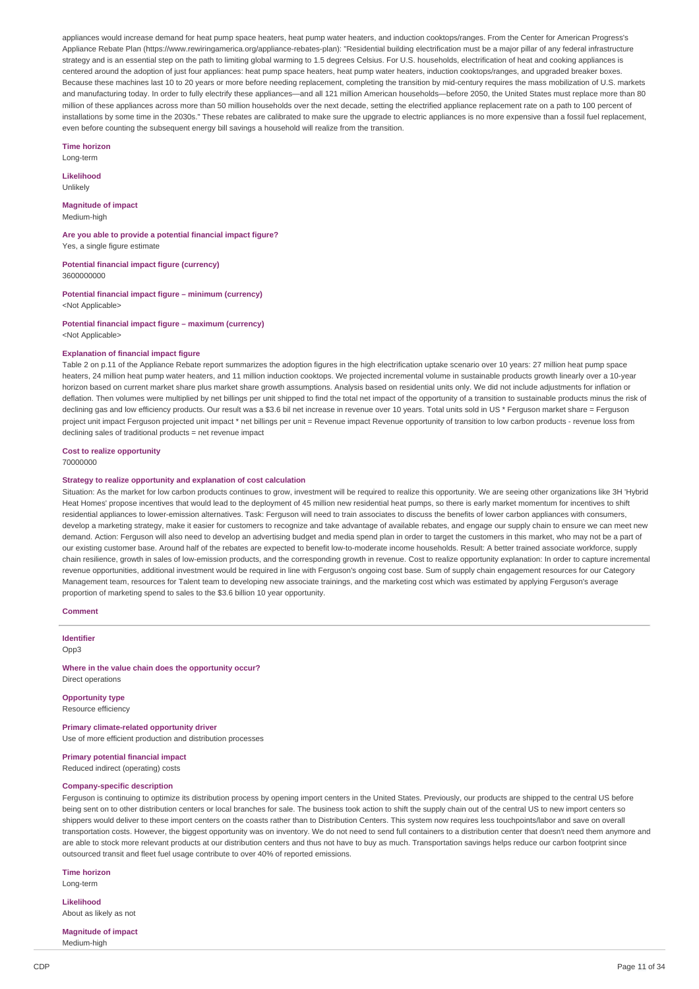appliances would increase demand for heat pump space heaters, heat pump water heaters, and induction cooktops/ranges. From the Center for American Progress's Appliance Rebate Plan (https://www.rewiringamerica.org/appliance-rebates-plan): "Residential building electrification must be a major pillar of any federal infrastructure strategy and is an essential step on the path to limiting global warming to 1.5 degrees Celsius. For U.S. households, electrification of heat and cooking appliances is centered around the adoption of just four appliances: heat pump space heaters, heat pump water heaters, induction cooktops/ranges, and upgraded breaker boxes. Because these machines last 10 to 20 years or more before needing replacement, completing the transition by mid-century requires the mass mobilization of U.S. markets and manufacturing today. In order to fully electrify these appliances—and all 121 million American households—before 2050, the United States must replace more than 80 million of these appliances across more than 50 million households over the next decade, setting the electrified appliance replacement rate on a path to 100 percent of installations by some time in the 2030s." These rebates are calibrated to make sure the upgrade to electric appliances is no more expensive than a fossil fuel replacement, even before counting the subsequent energy bill savings a household will realize from the transition.

**Time horizon** Long-term

## **Likelihood**

Unlikely

**Magnitude of impact** Medium-high

**Are you able to provide a potential financial impact figure?** Yes, a single figure estimate

**Potential financial impact figure (currency)** 3600000000

**Potential financial impact figure – minimum (currency)** <Not Applicable>

**Potential financial impact figure – maximum (currency)** <Not Applicable>

# **Explanation of financial impact figure**

Table 2 on p.11 of the Appliance Rebate report summarizes the adoption figures in the high electrification uptake scenario over 10 years: 27 million heat pump space heaters, 24 million heat pump water heaters, and 11 million induction cooktops. We projected incremental volume in sustainable products growth linearly over a 10-year horizon based on current market share plus market share growth assumptions. Analysis based on residential units only. We did not include adjustments for inflation or deflation. Then volumes were multiplied by net billings per unit shipped to find the total net impact of the opportunity of a transition to sustainable products minus the risk of declining gas and low efficiency products. Our result was a \$3.6 bil net increase in revenue over 10 years. Total units sold in US \* Ferguson market share = Ferguson project unit impact Ferguson projected unit impact \* net billings per unit = Revenue impact Revenue opportunity of transition to low carbon products - revenue loss from declining sales of traditional products = net revenue impact

#### **Cost to realize opportunity**

70000000

### **Strategy to realize opportunity and explanation of cost calculation**

Situation: As the market for low carbon products continues to grow, investment will be required to realize this opportunity. We are seeing other organizations like 3H 'Hybrid Heat Homes' propose incentives that would lead to the deployment of 45 million new residential heat pumps, so there is early market momentum for incentives to shift residential appliances to lower-emission alternatives. Task: Ferguson will need to train associates to discuss the benefits of lower carbon appliances with consumers, develop a marketing strategy, make it easier for customers to recognize and take advantage of available rebates, and engage our supply chain to ensure we can meet new demand. Action: Ferguson will also need to develop an advertising budget and media spend plan in order to target the customers in this market, who may not be a part of our existing customer base. Around half of the rebates are expected to benefit low-to-moderate income households. Result: A better trained associate workforce, supply chain resilience, growth in sales of low-emission products, and the corresponding growth in revenue. Cost to realize opportunity explanation: In order to capture incremental revenue opportunities, additional investment would be required in line with Ferguson's ongoing cost base. Sum of supply chain engagement resources for our Category Management team, resources for Talent team to developing new associate trainings, and the marketing cost which was estimated by applying Ferguson's average proportion of marketing spend to sales to the \$3.6 billion 10 year opportunity.

**Comment**

**Identifier** Opp3

**Where in the value chain does the opportunity occur?** Direct operations

**Opportunity type** Resource efficiency

**Primary climate-related opportunity driver** Use of more efficient production and distribution processes

**Primary potential financial impact** Reduced indirect (operating) costs

#### **Company-specific description**

Ferguson is continuing to optimize its distribution process by opening import centers in the United States. Previously, our products are shipped to the central US before being sent on to other distribution centers or local branches for sale. The business took action to shift the supply chain out of the central US to new import centers so shippers would deliver to these import centers on the coasts rather than to Distribution Centers. This system now requires less touchpoints/labor and save on overall transportation costs. However, the biggest opportunity was on inventory. We do not need to send full containers to a distribution center that doesn't need them anymore and are able to stock more relevant products at our distribution centers and thus not have to buy as much. Transportation savings helps reduce our carbon footprint since outsourced transit and fleet fuel usage contribute to over 40% of reported emissions.

**Time horizon** Long-term

**Likelihood**

About as likely as not

**Magnitude of impact** Medium-high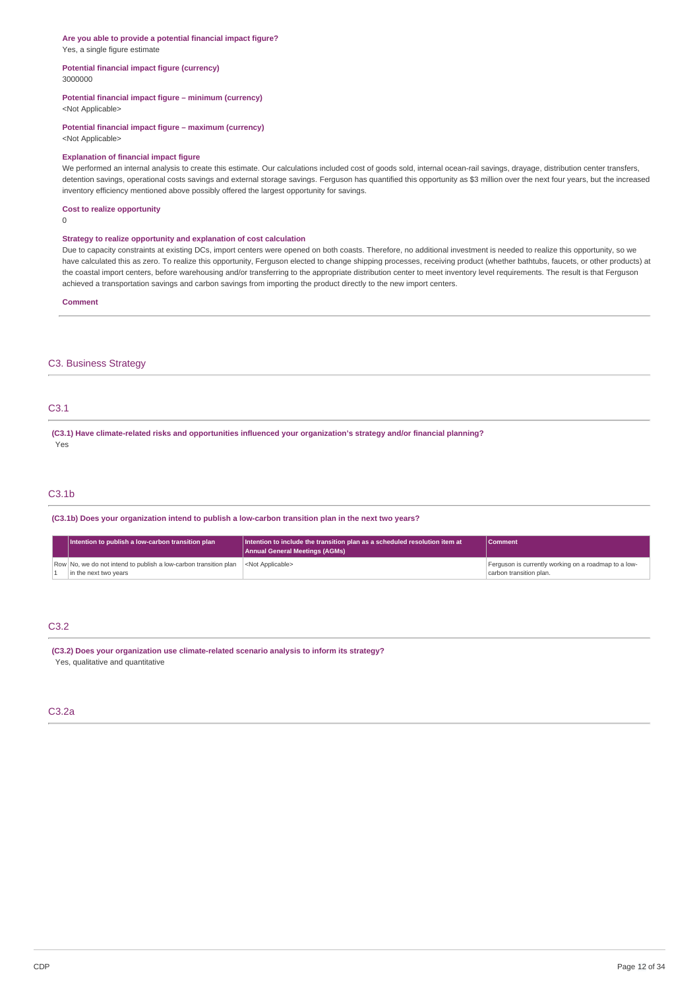#### **Are you able to provide a potential financial impact figure?** Yes, a single figure estimate

### **Potential financial impact figure (currency)** 3000000

# **Potential financial impact figure – minimum (currency)**

<Not Applicable>

#### **Potential financial impact figure – maximum (currency)** <Not Applicable>

## **Explanation of financial impact figure**

We performed an internal analysis to create this estimate. Our calculations included cost of goods sold, internal ocean-rail savings, drayage, distribution center transfers, detention savings, operational costs savings and external storage savings. Ferguson has quantified this opportunity as \$3 million over the next four years, but the increased inventory efficiency mentioned above possibly offered the largest opportunity for savings.

### **Cost to realize opportunity**

 $\Omega$ 

### **Strategy to realize opportunity and explanation of cost calculation**

Due to capacity constraints at existing DCs, import centers were opened on both coasts. Therefore, no additional investment is needed to realize this opportunity, so we have calculated this as zero. To realize this opportunity, Ferguson elected to change shipping processes, receiving product (whether bathtubs, faucets, or other products) at the coastal import centers, before warehousing and/or transferring to the appropriate distribution center to meet inventory level requirements. The result is that Ferguson achieved a transportation savings and carbon savings from importing the product directly to the new import centers.

**Comment**

### C3. Business Strategy

# C3.1

**(C3.1) Have climate-related risks and opportunities influenced your organization's strategy and/or financial planning?** Yes

# C3.1b

**(C3.1b) Does your organization intend to publish a low-carbon transition plan in the next two years?**

| Intention to publish a low-carbon transition plan                | $\frac{1}{2}$ Intention to include the transition plan as a scheduled resolution item at $\frac{1}{2}$<br><b>Annual General Meetings (AGMs)</b> | <b>Comment</b>                                       |
|------------------------------------------------------------------|-------------------------------------------------------------------------------------------------------------------------------------------------|------------------------------------------------------|
| Row No, we do not intend to publish a low-carbon transition plan | <not applicable=""></not>                                                                                                                       | Ferguson is currently working on a roadmap to a low- |
| in the next two years                                            |                                                                                                                                                 | carbon transition plan.                              |

# C3.2

# **(C3.2) Does your organization use climate-related scenario analysis to inform its strategy?**

Yes, qualitative and quantitative

## C3.2a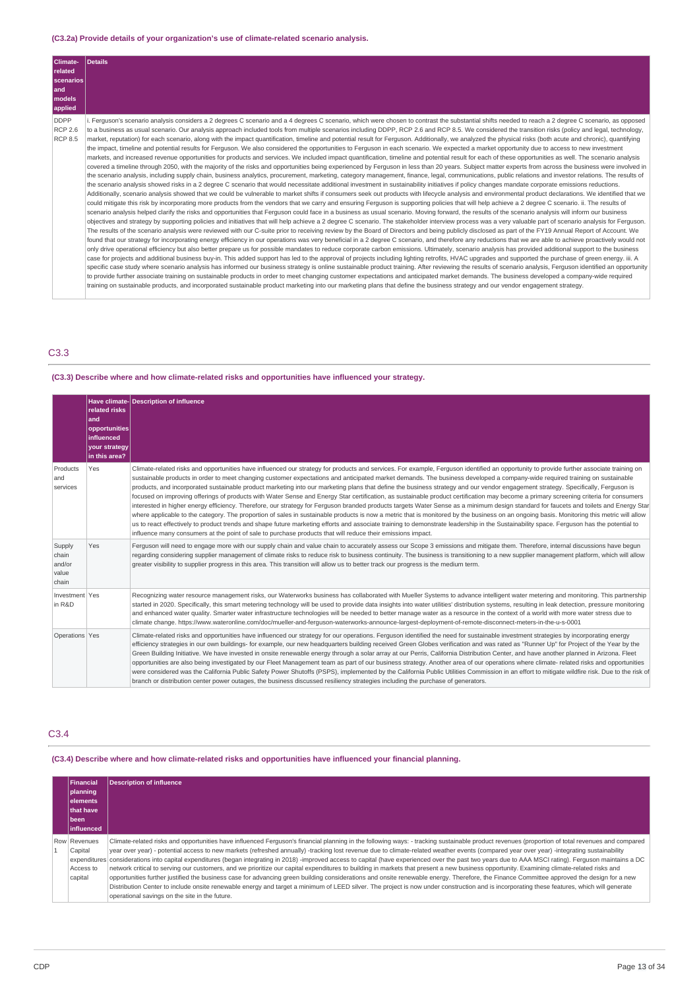# **(C3.2a) Provide details of your organization's use of climate-related scenario analysis.**

| <b>Climate-</b><br>related<br>scenarios<br>land<br>models<br>applied | <b>Details</b>                                                                                                                                                                                                                                                                                                                                                                                                                                                                                                                                                                                                                                                                                                                                                                                                                                                                                                                                                                                                                                                                                                                                                                                                                                                                                                                                                                                                                                                                                                                                                                                                                                                                                                                                                                                                                                                                                                                                                                                                                                                                                                                                                                                                                                                                                                                                                                                                                                                                                                                                                                                                                                                                                                                                                                                                                                                                                                                                                                                                                                                                                                                                                                                                                                                                                                                                                                                                                                                                                                                                                                                                                                                                                                                                                                                                                                                                                                                                       |
|----------------------------------------------------------------------|------------------------------------------------------------------------------------------------------------------------------------------------------------------------------------------------------------------------------------------------------------------------------------------------------------------------------------------------------------------------------------------------------------------------------------------------------------------------------------------------------------------------------------------------------------------------------------------------------------------------------------------------------------------------------------------------------------------------------------------------------------------------------------------------------------------------------------------------------------------------------------------------------------------------------------------------------------------------------------------------------------------------------------------------------------------------------------------------------------------------------------------------------------------------------------------------------------------------------------------------------------------------------------------------------------------------------------------------------------------------------------------------------------------------------------------------------------------------------------------------------------------------------------------------------------------------------------------------------------------------------------------------------------------------------------------------------------------------------------------------------------------------------------------------------------------------------------------------------------------------------------------------------------------------------------------------------------------------------------------------------------------------------------------------------------------------------------------------------------------------------------------------------------------------------------------------------------------------------------------------------------------------------------------------------------------------------------------------------------------------------------------------------------------------------------------------------------------------------------------------------------------------------------------------------------------------------------------------------------------------------------------------------------------------------------------------------------------------------------------------------------------------------------------------------------------------------------------------------------------------------------------------------------------------------------------------------------------------------------------------------------------------------------------------------------------------------------------------------------------------------------------------------------------------------------------------------------------------------------------------------------------------------------------------------------------------------------------------------------------------------------------------------------------------------------------------------------------------------------------------------------------------------------------------------------------------------------------------------------------------------------------------------------------------------------------------------------------------------------------------------------------------------------------------------------------------------------------------------------------------------------------------------------------------------------------------------|
| <b>DDPP</b><br><b>RCP 2.6</b><br><b>RCP 8.5</b>                      | Ferguson's scenario analysis considers a 2 degrees C scenario and a 4 degrees C scenario, which were chosen to contrast the substantial shifts needed to reach a 2 degree C scenario, as opposed<br>to a business as usual scenario. Our analysis approach included tools from multiple scenarios including DDPP, RCP 2.6 and RCP 8.5. We considered the transition risks (policy and legal, technology,<br>market, reputation) for each scenario, along with the impact quantification, timeline and potential result for Ferguson. Additionally, we analyzed the physical risks (both acute and chronic), quantifying<br>the impact, timeline and potential results for Ferguson. We also considered the opportunities to Ferguson in each scenario. We expected a market opportunity due to access to new investment<br>markets, and increased revenue opportunities for products and services. We included impact quantification, timeline and potential result for each of these opportunities as well. The scenario analysis<br>covered a timeline through 2050, with the majority of the risks and opportunities being experienced by Ferguson in less than 20 years. Subject matter experts from across the business were involved in<br>the scenario analysis, including supply chain, business analytics, procurement, marketing, category management, finance, legal, communications, public relations and investor relations. The results of<br>the scenario analysis showed risks in a 2 degree C scenario that would necessitate additional investment in sustainability initiatives if policy changes mandate corporate emissions reductions.<br>Additionally, scenario analysis showed that we could be vulnerable to market shifts if consumers seek out products with lifecycle analysis and environmental product declarations. We identified that we<br>could mitigate this risk by incorporating more products from the vendors that we carry and ensuring Ferguson is supporting policies that will help achieve a 2 degree C scenario. ii. The results of<br>scenario analysis helped clarify the risks and opportunities that Ferquson could face in a business as usual scenario. Moving forward, the results of the scenario analysis will inform our business<br>objectives and strategy by supporting policies and initiatives that will help achieve a 2 degree C scenario. The stakeholder interview process was a very valuable part of scenario analysis for Ferguson.<br>The results of the scenario analysis were reviewed with our C-suite prior to receiving review by the Board of Directors and being publicly disclosed as part of the FY19 Annual Report of Account. We<br>found that our strategy for incorporating energy efficiency in our operations was very beneficial in a 2 degree C scenario, and therefore any reductions that we are able to achieve proactively would not<br>only drive operational efficiency but also better prepare us for possible mandates to reduce corporate carbon emissions. Ultimately, scenario analysis has provided additional support to the business<br>case for projects and additional business buy-in. This added support has led to the approval of projects including lighting retrofits, HVAC upgrades and supported the purchase of green energy. iii. A<br>specific case study where scenario analysis has informed our business strategy is online sustainable product training. After reviewing the results of scenario analysis, Ferguson identified an opportunity<br>to provide further associate training on sustainable products in order to meet changing customer expectations and anticipated market demands. The business developed a company-wide required<br>training on sustainable products, and incorporated sustainable product marketing into our marketing plans that define the business strategy and our vendor engagement strategy. |

# C3.3

# **(C3.3) Describe where and how climate-related risks and opportunities have influenced your strategy.**

|                                             | related risks<br>land<br>opportunities<br>influenced<br><b>your strategy</b><br>in this area? | Have climate- Description of influence                                                                                                                                                                                                                                                                                                                                                                                                                                                                                                                                                                                                                                                                                                                                                                                                                                                                                                                                                                                                                                                                                                                                                                                                                                                                                                                                                                                                                   |
|---------------------------------------------|-----------------------------------------------------------------------------------------------|----------------------------------------------------------------------------------------------------------------------------------------------------------------------------------------------------------------------------------------------------------------------------------------------------------------------------------------------------------------------------------------------------------------------------------------------------------------------------------------------------------------------------------------------------------------------------------------------------------------------------------------------------------------------------------------------------------------------------------------------------------------------------------------------------------------------------------------------------------------------------------------------------------------------------------------------------------------------------------------------------------------------------------------------------------------------------------------------------------------------------------------------------------------------------------------------------------------------------------------------------------------------------------------------------------------------------------------------------------------------------------------------------------------------------------------------------------|
| Products<br>and<br>services                 | Yes                                                                                           | Climate-related risks and opportunities have influenced our strategy for products and services. For example, Ferguson identified an opportunity to provide further associate training on<br>sustainable products in order to meet changing customer expectations and anticipated market demands. The business developed a company-wide required training on sustainable<br>products, and incorporated sustainable product marketing into our marketing plans that define the business strategy and our vendor engagement strategy. Specifically, Ferguson is<br>focused on improving offerings of products with Water Sense and Energy Star certification, as sustainable product certification may become a primary screening criteria for consumers<br>interested in higher energy efficiency. Therefore, our strategy for Ferguson branded products targets Water Sense as a minimum design standard for faucets and toilets and Energy Star<br>where applicable to the category. The proportion of sales in sustainable products is now a metric that is monitored by the business on an ongoing basis. Monitoring this metric will allow<br>us to react effectively to product trends and shape future marketing efforts and associate training to demonstrate leadership in the Sustainability space. Ferguson has the potential to<br>influence many consumers at the point of sale to purchase products that will reduce their emissions impact. |
| Supply<br>chain<br>and/or<br>value<br>chain | Yes                                                                                           | Ferguson will need to engage more with our supply chain and value chain to accurately assess our Scope 3 emissions and mitigate them. Therefore, internal discussions have begun<br>regarding considering supplier management of climate risks to reduce risk to business continuity. The business is transitioning to a new supplier management platform, which will allow<br>greater visibility to supplier progress in this area. This transition will allow us to better track our progress is the medium term.                                                                                                                                                                                                                                                                                                                                                                                                                                                                                                                                                                                                                                                                                                                                                                                                                                                                                                                                      |
| Investment Yes<br>in R&D                    |                                                                                               | Recognizing water resource management risks, our Waterworks business has collaborated with Mueller Systems to advance intelligent water metering and monitoring. This partnership<br>started in 2020. Specifically, this smart metering technology will be used to provide data insights into water utilities' distribution systems, resulting in leak detection, pressure monitoring<br>and enhanced water quality. Smarter water infrastructure technologies will be needed to better manage water as a resource in the context of a world with more water stress due to<br>climate change. https://www.wateronline.com/doc/mueller-and-ferguson-waterworks-announce-largest-deployment-of-remote-disconnect-meters-in-the-u-s-0001                                                                                                                                                                                                                                                                                                                                                                                                                                                                                                                                                                                                                                                                                                                    |
| Operations Yes                              |                                                                                               | Climate-related risks and opportunities have influenced our strategy for our operations. Ferguson identified the need for sustainable investment strategies by incorporating energy<br>efficiency strategies in our own buildings- for example, our new headquarters building received Green Globes verification and was rated as "Runner Up" for Project of the Year by the<br>Green Building Initiative. We have invested in onsite renewable energy through a solar array at our Perris, California Distribution Center, and have another planned in Arizona. Fleet<br>opportunities are also being investigated by our Fleet Management team as part of our business strategy. Another area of our operations where climate- related risks and opportunities<br>were considered was the California Public Safety Power Shutoffs (PSPS), implemented by the California Public Utilities Commission in an effort to mitigate wildfire risk. Due to the risk of<br>branch or distribution center power outages, the business discussed resiliency strategies including the purchase of generators.                                                                                                                                                                                                                                                                                                                                                      |

# C3.4

# **(C3.4) Describe where and how climate-related risks and opportunities have influenced your financial planning.**

| <b>Financial</b><br>planning<br><b>elements</b><br>that have<br><b>Ibeen</b><br><b>linfluenced</b> | <b>Description of influence</b>                                                                                                                                                                                                                                                                                                                                                                                                                                                                                                                                                                                                                                                                                                                                                                                                                                                                                                                                                                                                                                                                                                                                                                                                                    |
|----------------------------------------------------------------------------------------------------|----------------------------------------------------------------------------------------------------------------------------------------------------------------------------------------------------------------------------------------------------------------------------------------------------------------------------------------------------------------------------------------------------------------------------------------------------------------------------------------------------------------------------------------------------------------------------------------------------------------------------------------------------------------------------------------------------------------------------------------------------------------------------------------------------------------------------------------------------------------------------------------------------------------------------------------------------------------------------------------------------------------------------------------------------------------------------------------------------------------------------------------------------------------------------------------------------------------------------------------------------|
| Row Revenues<br>Capital<br>Access to<br>capital                                                    | Climate-related risks and opportunities have influenced Ferguson's financial planning in the following ways: - tracking sustainable product revenues (proportion of total revenues and compared<br>year over year) - potential access to new markets (refreshed annually) -tracking lost revenue due to climate-related weather events (compared year over year) -integrating sustainability<br>expenditures considerations into capital expenditures (began integrating in 2018) -improved access to capital (have experienced over the past two years due to AAA MSCI rating). Ferguson maintains a DC<br>network critical to serving our customers, and we prioritize our capital expenditures to building in markets that present a new business opportunity. Examining climate-related risks and<br>opportunities further justified the business case for advancing green building considerations and onsite renewable energy. Therefore, the Finance Committee approved the design for a new<br>Distribution Center to include onsite renewable energy and target a minimum of LEED silver. The project is now under construction and is incorporating these features, which will generate<br>operational savings on the site in the future. |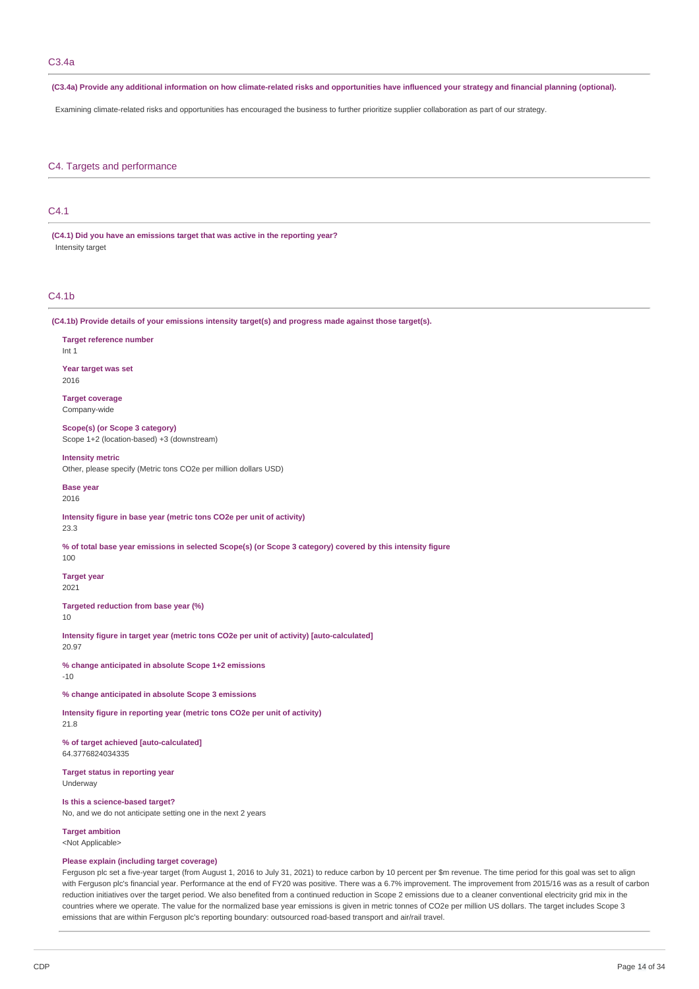(C3.4a) Provide any additional information on how climate-related risks and opportunities have influenced your strategy and financial planning (optional).

Examining climate-related risks and opportunities has encouraged the business to further prioritize supplier collaboration as part of our strategy.

# C4. Targets and performance

# C4.1

**(C4.1) Did you have an emissions target that was active in the reporting year?** Intensity target

# C4.1b

**(C4.1b) Provide details of your emissions intensity target(s) and progress made against those target(s).**

#### **Target reference number** Int 1

**Year target was set** 2016

# **Target coverage**

Company-wide

### **Scope(s) (or Scope 3 category)** Scope 1+2 (location-based) +3 (downstream)

**Intensity metric**

Other, please specify (Metric tons CO2e per million dollars USD)

### **Base** year

2016

# **Intensity figure in base year (metric tons CO2e per unit of activity)**

23.3

#### % of total base year emissions in selected Scope(s) (or Scope 3 category) covered by this intensity figure 100

**Target year** 2021

### **Targeted reduction from base year (%)** 10

**Intensity figure in target year (metric tons CO2e per unit of activity) [auto-calculated]** 20.97

**% change anticipated in absolute Scope 1+2 emissions** -10

# **% change anticipated in absolute Scope 3 emissions**

**Intensity figure in reporting year (metric tons CO2e per unit of activity)** 21.8

**% of target achieved [auto-calculated]** 64.3776824034335

**Target status in reporting year** Underway

# **Is this a science-based target?**

No, and we do not anticipate setting one in the next 2 years

**Target ambition** <Not Applicable>

# **Please explain (including target coverage)**

Ferguson plc set a five-year target (from August 1, 2016 to July 31, 2021) to reduce carbon by 10 percent per \$m revenue. The time period for this goal was set to align with Ferguson plc's financial year. Performance at the end of FY20 was positive. There was a 6.7% improvement. The improvement from 2015/16 was as a result of carbon reduction initiatives over the target period. We also benefited from a continued reduction in Scope 2 emissions due to a cleaner conventional electricity grid mix in the countries where we operate. The value for the normalized base year emissions is given in metric tonnes of CO2e per million US dollars. The target includes Scope 3 emissions that are within Ferguson plc's reporting boundary: outsourced road-based transport and air/rail travel.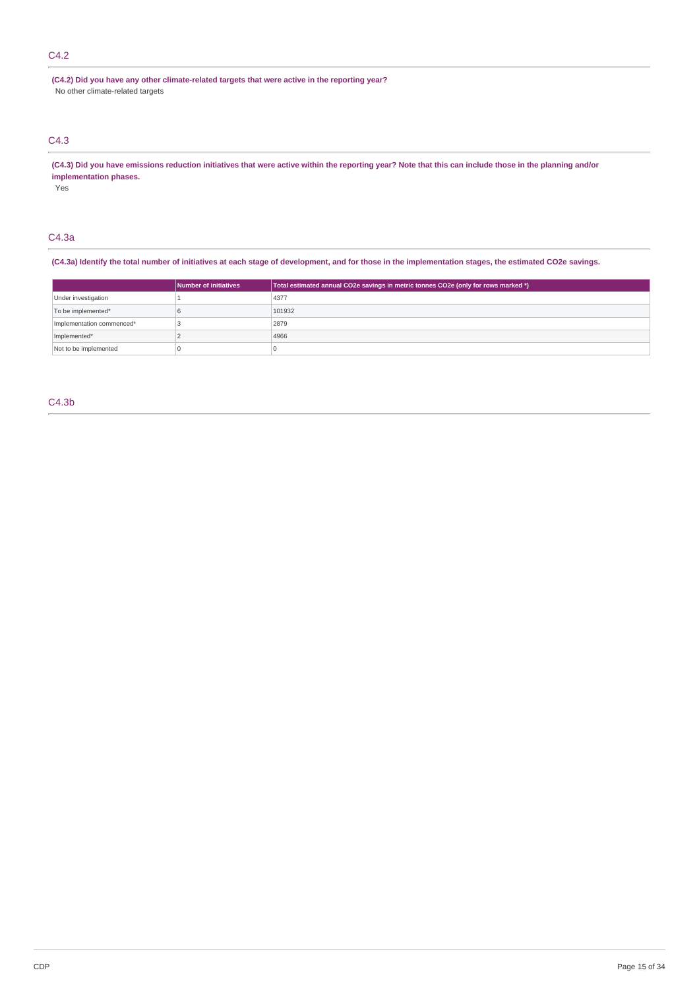# C4.2

**(C4.2) Did you have any other climate-related targets that were active in the reporting year?** No other climate-related targets

# C4.3

(C4.3) Did you have emissions reduction initiatives that were active within the reporting year? Note that this can include those in the planning and/or **implementation phases.**

Yes

# C4.3a

(C4.3a) Identify the total number of initiatives at each stage of development, and for those in the implementation stages, the estimated CO2e savings.

|                           | Number of initiatives | Total estimated annual CO2e savings in metric tonnes CO2e (only for rows marked *) |
|---------------------------|-----------------------|------------------------------------------------------------------------------------|
| Under investigation       |                       | 4377                                                                               |
| To be implemented*        |                       | 101932                                                                             |
| Implementation commenced* |                       | 2879                                                                               |
| Implemented*              |                       | 4966                                                                               |
| Not to be implemented     |                       |                                                                                    |

# C4.3b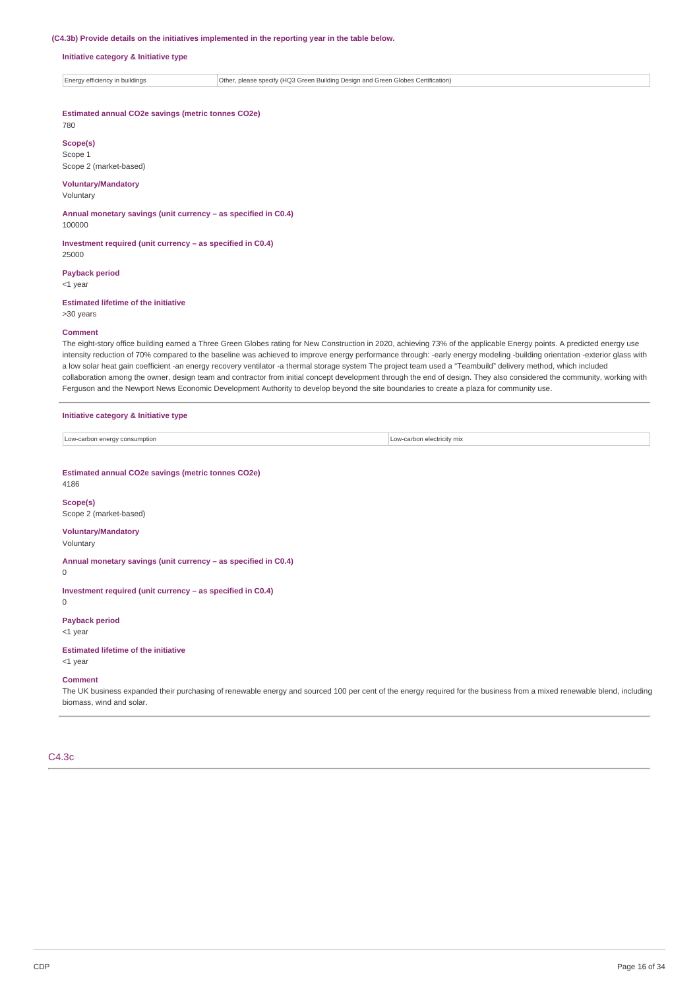#### **(C4.3b) Provide details on the initiatives implemented in the reporting year in the table below.**

### **Initiative category & Initiative type**

Energy efficiency in buildings Other, please specify (HQ3 Green Building Design and Green Globes Certification)

### **Estimated annual CO2e savings (metric tonnes CO2e)**

780

### **Scope(s)** Scope 1

Scope 2 (market-based)

# **Voluntary/Mandatory**

Voluntary

### **Annual monetary savings (unit currency – as specified in C0.4)** 100000

**Investment required (unit currency – as specified in C0.4)** 25000

### **Payback period**

<1 year

# **Estimated lifetime of the initiative**

>30 years

### **Comment**

The eight-story office building earned a Three Green Globes rating for New Construction in 2020, achieving 73% of the applicable Energy points. A predicted energy use intensity reduction of 70% compared to the baseline was achieved to improve energy performance through: -early energy modeling -building orientation -exterior glass with a low solar heat gain coefficient -an energy recovery ventilator -a thermal storage system The project team used a "Teambuild" delivery method, which included collaboration among the owner, design team and contractor from initial concept development through the end of design. They also considered the community, working with Ferguson and the Newport News Economic Development Authority to develop beyond the site boundaries to create a plaza for community use.

### **Initiative category & Initiative type**

| Low-carbon energy consumption | Low-carbon electricity mix |
|-------------------------------|----------------------------|

**Estimated annual CO2e savings (metric tonnes CO2e)**

4186

#### **Scope(s)** Scope 2 (market-based)

**Voluntary/Mandatory**

# Voluntary

**Annual monetary savings (unit currency – as specified in C0.4)**

0

# **Investment required (unit currency – as specified in C0.4)**

 $\Omega$ 

### **Payback period** <1 year

**Estimated lifetime of the initiative**

# <1 year

**Comment**

The UK business expanded their purchasing of renewable energy and sourced 100 per cent of the energy required for the business from a mixed renewable blend, including biomass, wind and solar.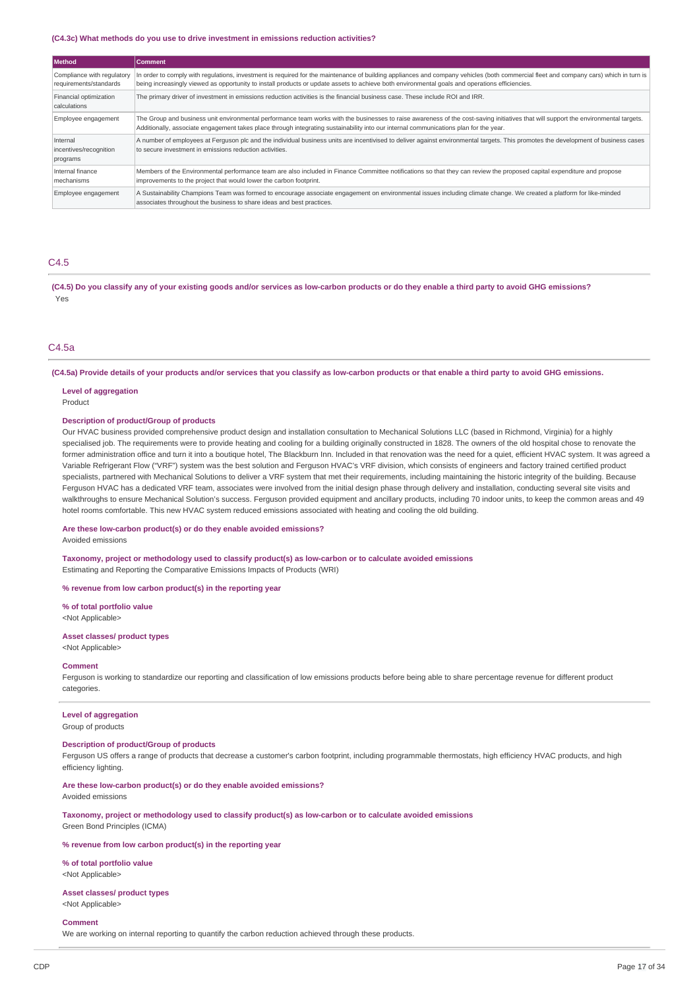#### **(C4.3c) What methods do you use to drive investment in emissions reduction activities?**

| <b>Method</b>                                        | <b>Comment</b>                                                                                                                                                                                                                                                                                                                          |
|------------------------------------------------------|-----------------------------------------------------------------------------------------------------------------------------------------------------------------------------------------------------------------------------------------------------------------------------------------------------------------------------------------|
| Compliance with regulatory<br>requirements/standards | In order to comply with regulations, investment is required for the maintenance of building appliances and company vehicles (both commercial fleet and company cars) which in turn is<br>being increasingly viewed as opportunity to install products or update assets to achieve both environmental goals and operations efficiencies. |
| Financial optimization<br>calculations               | The primary driver of investment in emissions reduction activities is the financial business case. These include ROI and IRR.                                                                                                                                                                                                           |
| Employee engagement                                  | The Group and business unit environmental performance team works with the businesses to raise awareness of the cost-saving initiatives that will support the environmental targets.<br>Additionally, associate engagement takes place through integrating sustainability into our internal communications plan for the year.            |
| Internal<br>incentives/recognition<br>programs       | A number of employees at Ferguson plc and the individual business units are incentivised to deliver against environmental targets. This promotes the development of business cases<br>to secure investment in emissions reduction activities.                                                                                           |
| Internal finance<br>mechanisms                       | Members of the Environmental performance team are also included in Finance Committee notifications so that they can review the proposed capital expenditure and propose<br>improvements to the project that would lower the carbon footprint.                                                                                           |
| Employee engagement                                  | A Sustainability Champions Team was formed to encourage associate engagement on environmental issues including climate change. We created a platform for like-minded<br>associates throughout the business to share ideas and best practices.                                                                                           |

# C4.5

(C4.5) Do you classify any of your existing goods and/or services as low-carbon products or do they enable a third party to avoid GHG emissions? Yes

# C4.5a

(C4.5a) Provide details of your products and/or services that you classify as low-carbon products or that enable a third party to avoid GHG emissions.

#### **Level of aggregation**

Product

### **Description of product/Group of products**

Our HVAC business provided comprehensive product design and installation consultation to Mechanical Solutions LLC (based in Richmond, Virginia) for a highly specialised job. The requirements were to provide heating and cooling for a building originally constructed in 1828. The owners of the old hospital chose to renovate the former administration office and turn it into a boutique hotel, The Blackburn Inn. Included in that renovation was the need for a quiet, efficient HVAC system. It was agreed a Variable Refrigerant Flow ("VRF") system was the best solution and Ferguson HVAC's VRF division, which consists of engineers and factory trained certified product specialists, partnered with Mechanical Solutions to deliver a VRF system that met their requirements, including maintaining the historic integrity of the building. Because Ferguson HVAC has a dedicated VRF team, associates were involved from the initial design phase through delivery and installation, conducting several site visits and walkthroughs to ensure Mechanical Solution's success. Ferguson provided equipment and ancillary products, including 70 indoor units, to keep the common areas and 49 hotel rooms comfortable. This new HVAC system reduced emissions associated with heating and cooling the old building.

#### **Are these low-carbon product(s) or do they enable avoided emissions?**

Avoided emissions

**Taxonomy, project or methodology used to classify product(s) as low-carbon or to calculate avoided emissions** Estimating and Reporting the Comparative Emissions Impacts of Products (WRI)

#### **% revenue from low carbon product(s) in the reporting year**

**% of total portfolio value** <Not Applicable>

# **Asset classes/ product types**

<Not Applicable>

### **Comment**

Ferguson is working to standardize our reporting and classification of low emissions products before being able to share percentage revenue for different product categories.

# **Level of aggregation**

Group of products

#### **Description of product/Group of products**

Ferguson US offers a range of products that decrease a customer's carbon footprint, including programmable thermostats, high efficiency HVAC products, and high efficiency lighting.

**Are these low-carbon product(s) or do they enable avoided emissions?** Avoided emissions

**Taxonomy, project or methodology used to classify product(s) as low-carbon or to calculate avoided emissions** Green Bond Principles (ICMA)

### **% revenue from low carbon product(s) in the reporting year**

**% of total portfolio value** <Not Applicable>

### **Asset classes/ product types**

<Not Applicable>

## **Comment**

We are working on internal reporting to quantify the carbon reduction achieved through these products.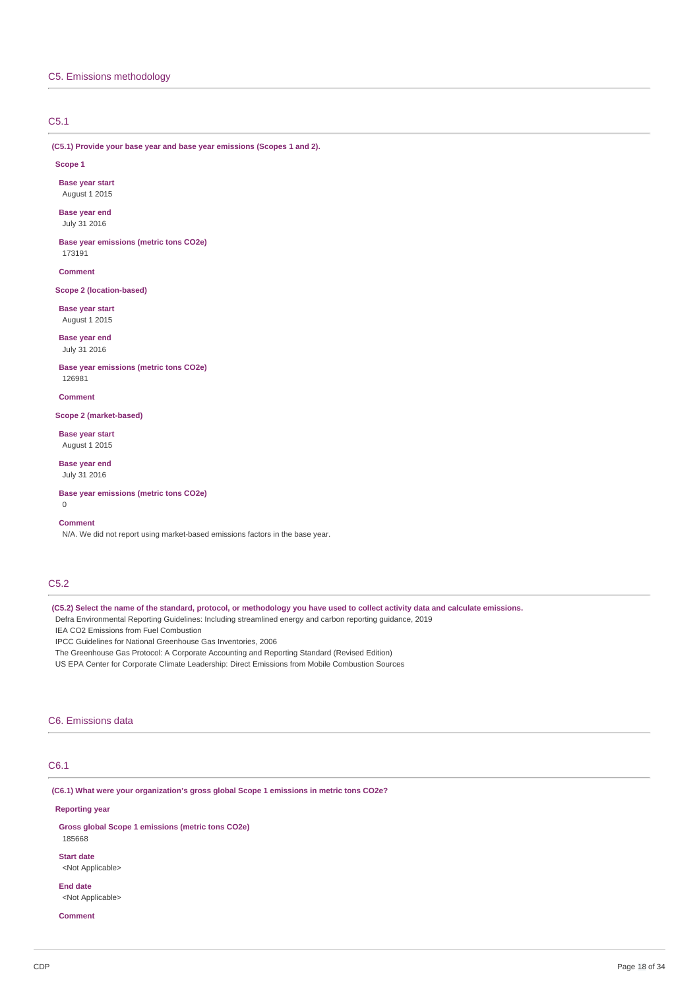# C5.1

**(C5.1) Provide your base year and base year emissions (Scopes 1 and 2).**

**Scope 1**

**Base year start** August 1 2015

**Base year end** July 31 2016

**Base year emissions (metric tons CO2e)** 173191

**Comment**

**Scope 2 (location-based)**

**Base year start** August 1 2015

**Base year end** July 31 2016

**Base year emissions (metric tons CO2e)** 126981

**Comment**

**Scope 2 (market-based)**

**Base year start** August 1 2015

**Base year end** July 31 2016

**Base year emissions (metric tons CO2e)**

0

### **Comment**

N/A. We did not report using market-based emissions factors in the base year.

# C5.2

(C5.2) Select the name of the standard, protocol, or methodology you have used to collect activity data and calculate emissions.

Defra Environmental Reporting Guidelines: Including streamlined energy and carbon reporting guidance, 2019

IEA CO2 Emissions from Fuel Combustion

IPCC Guidelines for National Greenhouse Gas Inventories, 2006

The Greenhouse Gas Protocol: A Corporate Accounting and Reporting Standard (Revised Edition)

US EPA Center for Corporate Climate Leadership: Direct Emissions from Mobile Combustion Sources

# C6. Emissions data

# C6.1

**(C6.1) What were your organization's gross global Scope 1 emissions in metric tons CO2e?**

## **Reporting year**

**Gross global Scope 1 emissions (metric tons CO2e)** 185668

**Start date** <Not Applicable>

**End date** <Not Applicable>

# **Comment**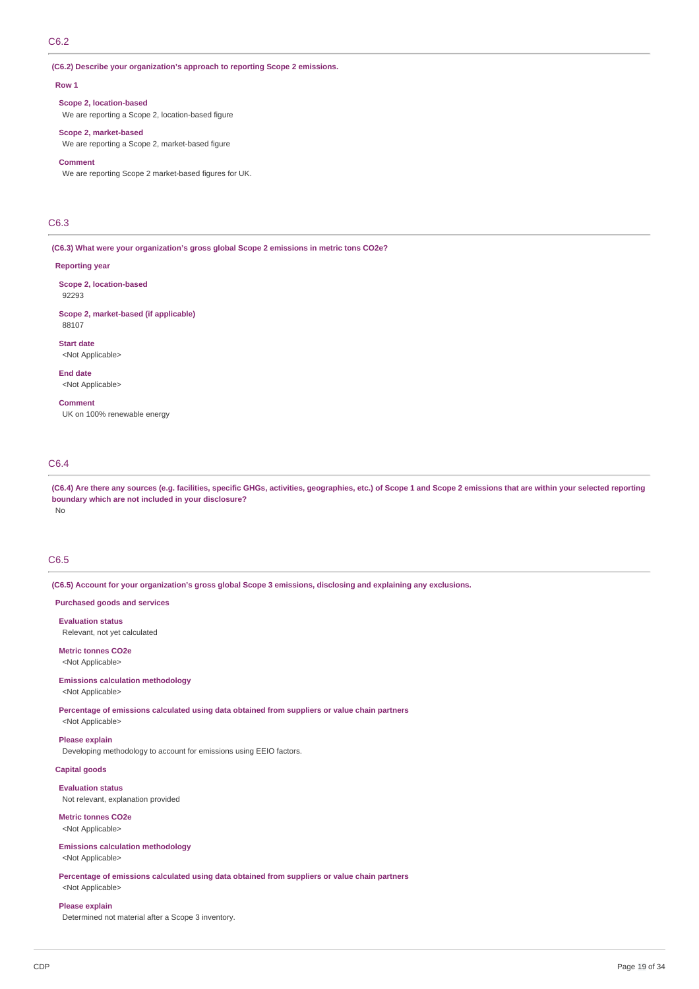# C6.2

**(C6.2) Describe your organization's approach to reporting Scope 2 emissions.**

### **Row 1**

**Scope 2, location-based**

We are reporting a Scope 2, location-based figure

## **Scope 2, market-based**

We are reporting a Scope 2, market-based figure

## **Comment**

We are reporting Scope 2 market-based figures for UK.

# C6.3

**(C6.3) What were your organization's gross global Scope 2 emissions in metric tons CO2e?**

#### **Reporting year**

92293

88107

**Scope 2, location-based**

**Scope 2, market-based (if applicable)**

**Start date**

<Not Applicable>

**End date** <Not Applicable>

**Comment** UK on 100% renewable energy

# C6.4

(C6.4) Are there any sources (e.g. facilities, specific GHGs, activities, geographies, etc.) of Scope 1 and Scope 2 emissions that are within your selected reporting **boundary which are not included in your disclosure?** No

# C6.5

**(C6.5) Account for your organization's gross global Scope 3 emissions, disclosing and explaining any exclusions.**

**Purchased goods and services**

**Evaluation status** Relevant, not yet calculated

**Metric tonnes CO2e** <Not Applicable>

### **Emissions calculation methodology** <Not Applicable>

**Percentage of emissions calculated using data obtained from suppliers or value chain partners** <Not Applicable>

**Please explain**

Developing methodology to account for emissions using EEIO factors.

**Capital goods**

**Evaluation status** Not relevant, explanation provided

**Metric tonnes CO2e** <Not Applicable>

**Emissions calculation methodology** <Not Applicable>

**Percentage of emissions calculated using data obtained from suppliers or value chain partners** <Not Applicable>

# **Please explain**

Determined not material after a Scope 3 inventory.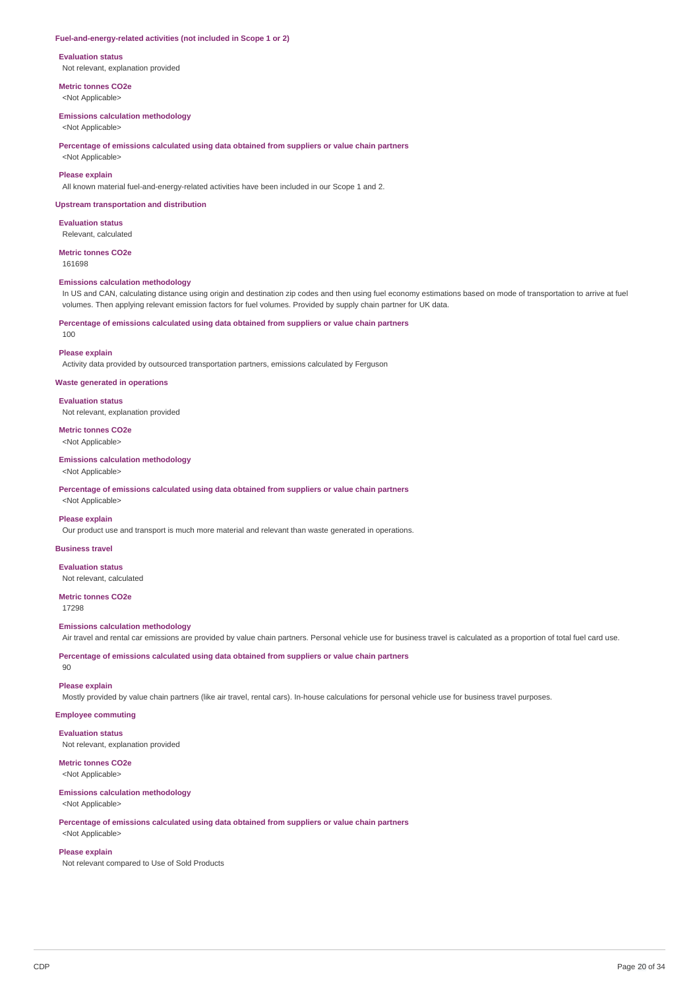#### **Fuel-and-energy-related activities (not included in Scope 1 or 2)**

#### **Evaluation status**

Not relevant, explanation provided

**Metric tonnes CO2e**

<Not Applicable>

# **Emissions calculation methodology**

<Not Applicable>

### **Percentage of emissions calculated using data obtained from suppliers or value chain partners**

<Not Applicable>

### **Please explain**

All known material fuel-and-energy-related activities have been included in our Scope 1 and 2.

#### **Upstream transportation and distribution**

**Evaluation status** Relevant, calculated

#### **Metric tonnes CO2e**

161698

#### **Emissions calculation methodology**

In US and CAN, calculating distance using origin and destination zip codes and then using fuel economy estimations based on mode of transportation to arrive at fuel volumes. Then applying relevant emission factors for fuel volumes. Provided by supply chain partner for UK data.

### **Percentage of emissions calculated using data obtained from suppliers or value chain partners**

 $100$ 

### **Please explain**

Activity data provided by outsourced transportation partners, emissions calculated by Ferguson

### **Waste generated in operations**

**Evaluation status** Not relevant, explanation provided

# **Metric tonnes CO2e**

<Not Applicable>

# **Emissions calculation methodology**

<Not Applicable>

**Percentage of emissions calculated using data obtained from suppliers or value chain partners**

<Not Applicable>

#### **Please explain**

Our product use and transport is much more material and relevant than waste generated in operations.

# **Business travel**

**Evaluation status** Not relevant, calculated

# **Metric tonnes CO2e**

17298

### **Emissions calculation methodology**

Air travel and rental car emissions are provided by value chain partners. Personal vehicle use for business travel is calculated as a proportion of total fuel card use.

**Percentage of emissions calculated using data obtained from suppliers or value chain partners**

# $90$

# **Please explain**

Mostly provided by value chain partners (like air travel, rental cars). In-house calculations for personal vehicle use for business travel purposes.

### **Employee commuting**

**Evaluation status** Not relevant, explanation provided

# **Metric tonnes CO2e**

<Not Applicable>

### **Emissions calculation methodology**

<Not Applicable>

# **Percentage of emissions calculated using data obtained from suppliers or value chain partners** <Not Applicable>

### **Please explain**

Not relevant compared to Use of Sold Products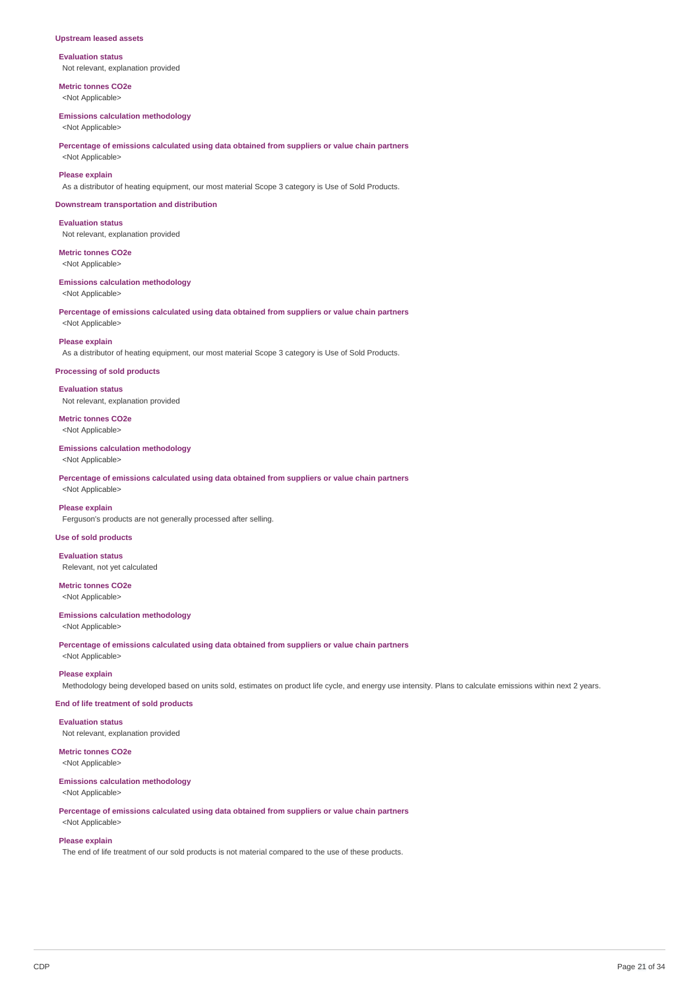### **Upstream leased assets**

**Evaluation status** Not relevant, explanation provided

**Metric tonnes CO2e** <Not Applicable>

#### **Emissions calculation methodology**

<Not Applicable>

**Percentage of emissions calculated using data obtained from suppliers or value chain partners** <Not Applicable>

### **Please explain**

As a distributor of heating equipment, our most material Scope 3 category is Use of Sold Products.

#### **Downstream transportation and distribution**

**Evaluation status** Not relevant, explanation provided

**Metric tonnes CO2e** <Not Applicable>

# **Emissions calculation methodology**

<Not Applicable>

**Percentage of emissions calculated using data obtained from suppliers or value chain partners** <Not Applicable>

#### **Please explain**

As a distributor of heating equipment, our most material Scope 3 category is Use of Sold Products.

#### **Processing of sold products**

**Evaluation status** Not relevant, explanation provided

**Metric tonnes CO2e** <Not Applicable>

#### **Emissions calculation methodology**

<Not Applicable>

**Percentage of emissions calculated using data obtained from suppliers or value chain partners** <Not Applicable>

### **Please explain**

Ferguson's products are not generally processed after selling.

### **Use of sold products**

**Evaluation status** Relevant, not yet calculated

**Metric tonnes CO2e** <Not Applicable>

## **Emissions calculation methodology**

<Not Applicable>

**Percentage of emissions calculated using data obtained from suppliers or value chain partners**

# <Not Applicable> **Please explain**

Methodology being developed based on units sold, estimates on product life cycle, and energy use intensity. Plans to calculate emissions within next 2 years.

# **End of life treatment of sold products**

**Evaluation status**

Not relevant, explanation provided

# **Metric tonnes CO2e**

<Not Applicable>

# **Emissions calculation methodology**

<Not Applicable>

**Percentage of emissions calculated using data obtained from suppliers or value chain partners**

# <Not Applicable> **Please explain**

The end of life treatment of our sold products is not material compared to the use of these products.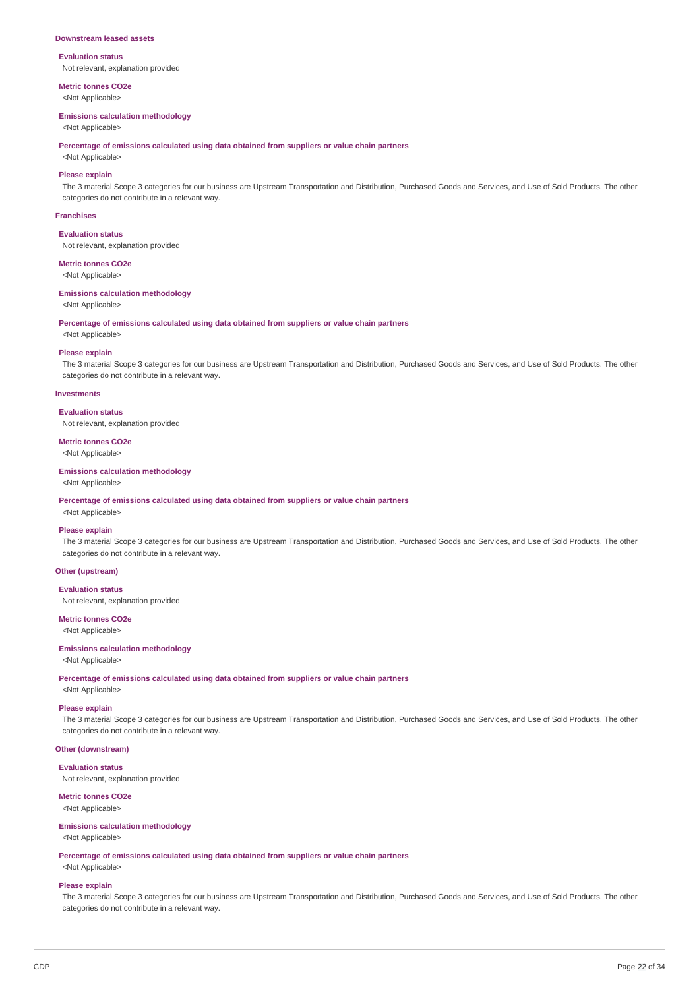#### **Downstream leased assets**

# **Evaluation status**

Not relevant, explanation provided

**Metric tonnes CO2e** <Not Applicable>

#### **Emissions calculation methodology**

<Not Applicable>

**Percentage of emissions calculated using data obtained from suppliers or value chain partners**

# <Not Applicable> **Please explain**

The 3 material Scope 3 categories for our business are Upstream Transportation and Distribution, Purchased Goods and Services, and Use of Sold Products. The other categories do not contribute in a relevant way.

#### **Franchises**

**Evaluation status**

Not relevant, explanation provided

## **Metric tonnes CO2e**

<Not Applicable>

# **Emissions calculation methodology**

<Not Applicable>

**Percentage of emissions calculated using data obtained from suppliers or value chain partners**

<Not Applicable>

### **Please explain**

The 3 material Scope 3 categories for our business are Upstream Transportation and Distribution, Purchased Goods and Services, and Use of Sold Products. The other categories do not contribute in a relevant way.

#### **Investments**

### **Evaluation status**

Not relevant, explanation provided

# **Metric tonnes CO2e**

<Not Applicable>

# **Emissions calculation methodology**

<Not Applicable>

**Percentage of emissions calculated using data obtained from suppliers or value chain partners**

# <Not Applicable> **Please explain**

The 3 material Scope 3 categories for our business are Upstream Transportation and Distribution, Purchased Goods and Services, and Use of Sold Products. The other categories do not contribute in a relevant way.

### **Other (upstream)**

### **Evaluation status**

Not relevant, explanation provided

# **Metric tonnes CO2e**

<Not Applicable>

# **Emissions calculation methodology**

<Not Applicable>

**Percentage of emissions calculated using data obtained from suppliers or value chain partners**

<Not Applicable>

# **Please explain**

The 3 material Scope 3 categories for our business are Upstream Transportation and Distribution, Purchased Goods and Services, and Use of Sold Products. The other categories do not contribute in a relevant way.

# **Other (downstream)**

**Evaluation status**

Not relevant, explanation provided

### **Metric tonnes CO2e**

<Not Applicable>

#### **Emissions calculation methodology** <Not Applicable>

**Percentage of emissions calculated using data obtained from suppliers or value chain partners** <Not Applicable>

#### **Please explain**

The 3 material Scope 3 categories for our business are Upstream Transportation and Distribution, Purchased Goods and Services, and Use of Sold Products. The other categories do not contribute in a relevant way.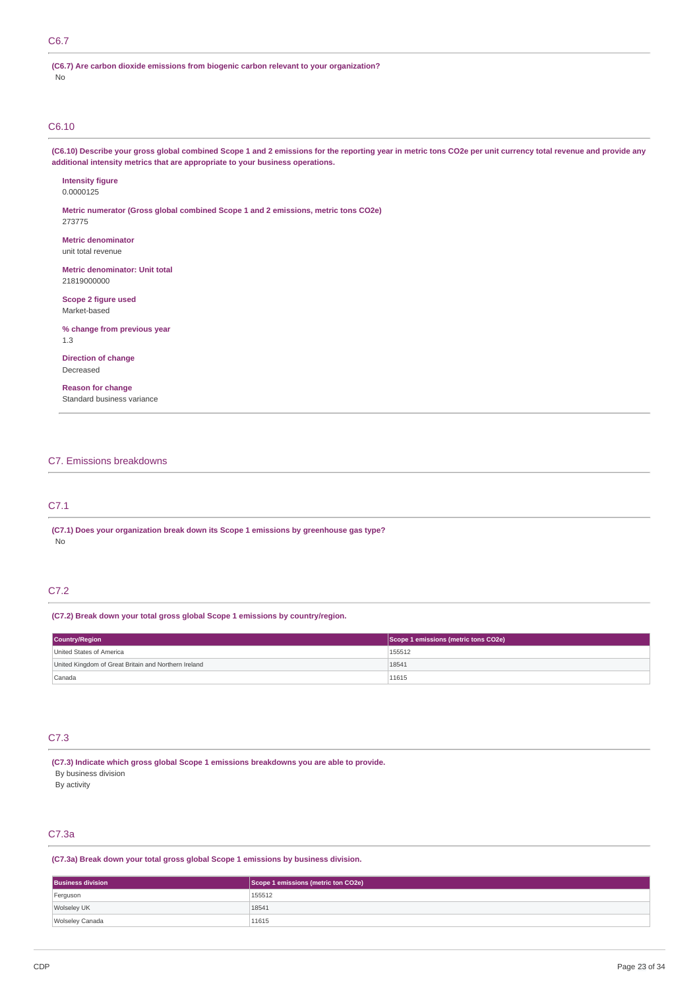# C6.7

**(C6.7) Are carbon dioxide emissions from biogenic carbon relevant to your organization?** No

# C6.10

(C6.10) Describe your gross global combined Scope 1 and 2 emissions for the reporting year in metric tons CO2e per unit currency total revenue and provide any **additional intensity metrics that are appropriate to your business operations.**

**Intensity figure** 0.0000125

**Metric numerator (Gross global combined Scope 1 and 2 emissions, metric tons CO2e)** 273775

**Metric denominator** unit total revenue

**Metric denominator: Unit total** 21819000000

**Scope 2 figure used** Market-based

**% change from previous year** 1.3

**Direction of change** Decreased

**Reason for change** Standard business variance

# C7. Emissions breakdowns

# C7.1

**(C7.1) Does your organization break down its Scope 1 emissions by greenhouse gas type?** No

# C7.2

## **(C7.2) Break down your total gross global Scope 1 emissions by country/region.**

| <b>Country/Region</b>                                | Scope 1 emissions (metric tons CO2e) |  |
|------------------------------------------------------|--------------------------------------|--|
| United States of America                             | 155512                               |  |
| United Kingdom of Great Britain and Northern Ireland | 18541                                |  |
| Canada                                               | 11615                                |  |

# C7.3

**(C7.3) Indicate which gross global Scope 1 emissions breakdowns you are able to provide.**

By business division

By activity

# C7.3a

**(C7.3a) Break down your total gross global Scope 1 emissions by business division.**

| <b>Business division</b> | Scope 1 emissions (metric ton CO2e) |  |
|--------------------------|-------------------------------------|--|
| Ferguson                 | 155512                              |  |
| Wolseley UK              | 18541                               |  |
| Wolseley Canada          | 11615                               |  |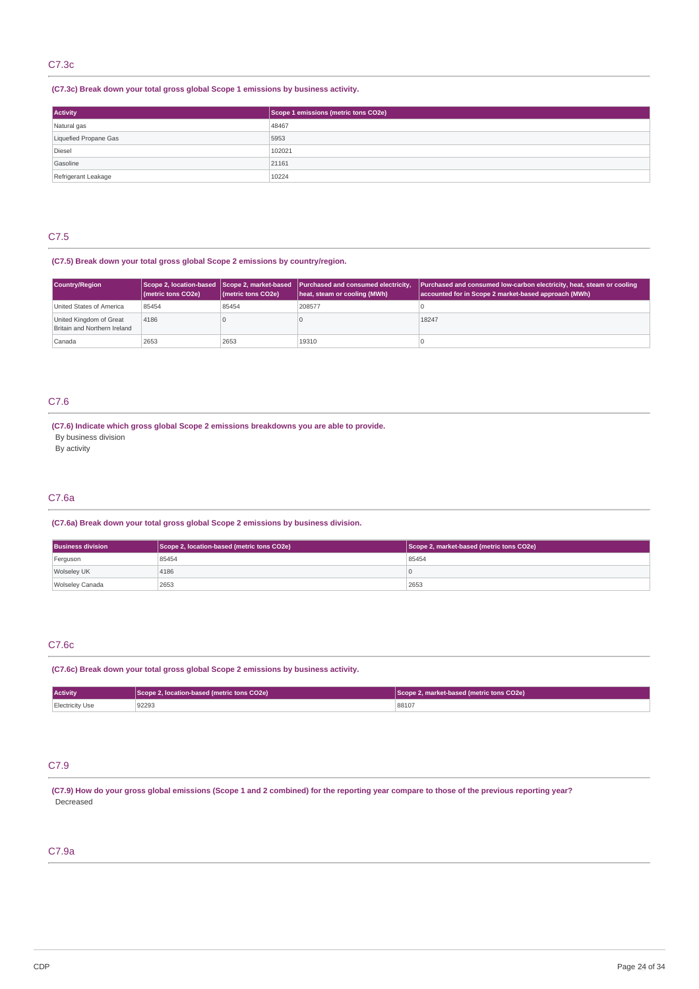# C7.3c

**(C7.3c) Break down your total gross global Scope 1 emissions by business activity.**

| Activity              | Scope 1 emissions (metric tons CO2e) |  |
|-----------------------|--------------------------------------|--|
| Natural gas           | 48467                                |  |
| Liquefied Propane Gas | 5953                                 |  |
| Diesel                | 102021                               |  |
| Gasoline              | 21161                                |  |
| Refrigerant Leakage   | 10224                                |  |

# C7.5

# **(C7.5) Break down your total gross global Scope 2 emissions by country/region.**

| <b>Country/Region</b>                                   | (metric tons CO2e) | (metric tons CO2e) | Scope 2, location-based Scope 2, market-based Purchased and consumed electricity,<br>heat, steam or cooling (MWh) | <b>Purchased and consumed low-carbon electricity, heat, steam or cooling</b><br>accounted for in Scope 2 market-based approach (MWh) |
|---------------------------------------------------------|--------------------|--------------------|-------------------------------------------------------------------------------------------------------------------|--------------------------------------------------------------------------------------------------------------------------------------|
| United States of America                                | 85454              | 85454              | 208577                                                                                                            |                                                                                                                                      |
| United Kingdom of Great<br>Britain and Northern Ireland | 4186               |                    |                                                                                                                   | 18247                                                                                                                                |
| Canada                                                  | 2653               | 2653               | 19310                                                                                                             |                                                                                                                                      |

# C7.6

# **(C7.6) Indicate which gross global Scope 2 emissions breakdowns you are able to provide.**

By business division

By activity

# C7.6a

# **(C7.6a) Break down your total gross global Scope 2 emissions by business division.**

| <b>Business division</b> | Scope 2, location-based (metric tons CO2e) | Scope 2, market-based (metric tons CO2e) |
|--------------------------|--------------------------------------------|------------------------------------------|
| Ferguson                 | 85454                                      | 85454                                    |
| Wolseley UK              | 4186                                       |                                          |
| Wolseley Canada          | 2653                                       | 2653                                     |

# C7.6c

### **(C7.6c) Break down your total gross global Scope 2 emissions by business activity.**

| <b>Activity</b> | Scope 2, location-based (metric tons CO2e) | Scope 2, market-based (metric tons CO2e) |  |
|-----------------|--------------------------------------------|------------------------------------------|--|
| Electricity Use | 92293                                      | 88107                                    |  |

# C7.9

(C7.9) How do your gross global emissions (Scope 1 and 2 combined) for the reporting year compare to those of the previous reporting year? Decreased

# C7.9a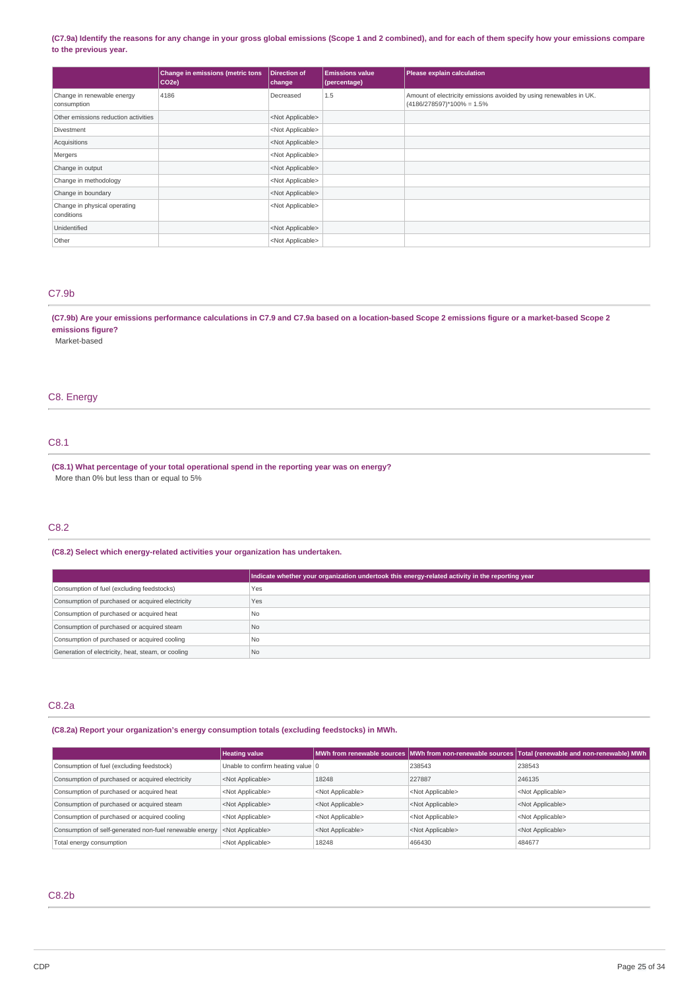### (C7.9a) Identify the reasons for any change in your gross global emissions (Scope 1 and 2 combined), and for each of them specify how your emissions compare **to the previous year.**

|                                            | <b>Change in emissions (metric tons</b><br>$ CO2e\rangle$ | Direction of<br>change    | <b>Emissions value</b><br>(percentage) | Please explain calculation                                                                        |
|--------------------------------------------|-----------------------------------------------------------|---------------------------|----------------------------------------|---------------------------------------------------------------------------------------------------|
| Change in renewable energy<br>consumption  | 4186                                                      | Decreased                 | 1.5                                    | Amount of electricity emissions avoided by using renewables in UK.<br>$(4186/278597)*100% = 1.5%$ |
| Other emissions reduction activities       |                                                           | <not applicable=""></not> |                                        |                                                                                                   |
| Divestment                                 |                                                           | <not applicable=""></not> |                                        |                                                                                                   |
| Acquisitions                               |                                                           | <not applicable=""></not> |                                        |                                                                                                   |
| Mergers                                    |                                                           | <not applicable=""></not> |                                        |                                                                                                   |
| Change in output                           |                                                           | <not applicable=""></not> |                                        |                                                                                                   |
| Change in methodology                      |                                                           | <not applicable=""></not> |                                        |                                                                                                   |
| Change in boundary                         |                                                           | <not applicable=""></not> |                                        |                                                                                                   |
| Change in physical operating<br>conditions |                                                           | <not applicable=""></not> |                                        |                                                                                                   |
| Unidentified                               |                                                           | <not applicable=""></not> |                                        |                                                                                                   |
| Other                                      |                                                           | <not applicable=""></not> |                                        |                                                                                                   |

# C7.9b

(C7.9b) Are your emissions performance calculations in C7.9 and C7.9a based on a location-based Scope 2 emissions figure or a market-based Scope 2 **emissions figure?**

Market-based

# C8. Energy

# C8.1

**(C8.1) What percentage of your total operational spend in the reporting year was on energy?** More than 0% but less than or equal to 5%

# C8.2

# **(C8.2) Select which energy-related activities your organization has undertaken.**

|                                                    | Indicate whether your organization undertook this energy-related activity in the reporting year |
|----------------------------------------------------|-------------------------------------------------------------------------------------------------|
| Consumption of fuel (excluding feedstocks)         | Yes                                                                                             |
| Consumption of purchased or acquired electricity   | Yes                                                                                             |
| Consumption of purchased or acquired heat          | N <sub>o</sub>                                                                                  |
| Consumption of purchased or acquired steam         | N <sub>o</sub>                                                                                  |
| Consumption of purchased or acquired cooling       | N <sub>o</sub>                                                                                  |
| Generation of electricity, heat, steam, or cooling | No                                                                                              |

# C8.2a

**(C8.2a) Report your organization's energy consumption totals (excluding feedstocks) in MWh.**

|                                                         | <b>Heating value</b>              |                           |                           | MWh from renewable sources MWh from non-renewable sources Total (renewable and non-renewable) MWh |
|---------------------------------------------------------|-----------------------------------|---------------------------|---------------------------|---------------------------------------------------------------------------------------------------|
| Consumption of fuel (excluding feedstock)               | Unable to confirm heating value 0 |                           | 238543                    | 238543                                                                                            |
| Consumption of purchased or acquired electricity        | <not applicable=""></not>         | 18248                     | 227887                    | 246135                                                                                            |
| Consumption of purchased or acquired heat               | <not applicable=""></not>         | <not applicable=""></not> | <not applicable=""></not> | <not applicable=""></not>                                                                         |
| Consumption of purchased or acquired steam              | <not applicable=""></not>         | <not applicable=""></not> | <not applicable=""></not> | <not applicable=""></not>                                                                         |
| Consumption of purchased or acquired cooling            | <not applicable=""></not>         | <not applicable=""></not> | <not applicable=""></not> | <not applicable=""></not>                                                                         |
| Consumption of self-generated non-fuel renewable energy | <not applicable=""></not>         | <not applicable=""></not> | <not applicable=""></not> | <not applicable=""></not>                                                                         |
| Total energy consumption                                | <not applicable=""></not>         | 18248                     | 466430                    | 484677                                                                                            |

# C8.2b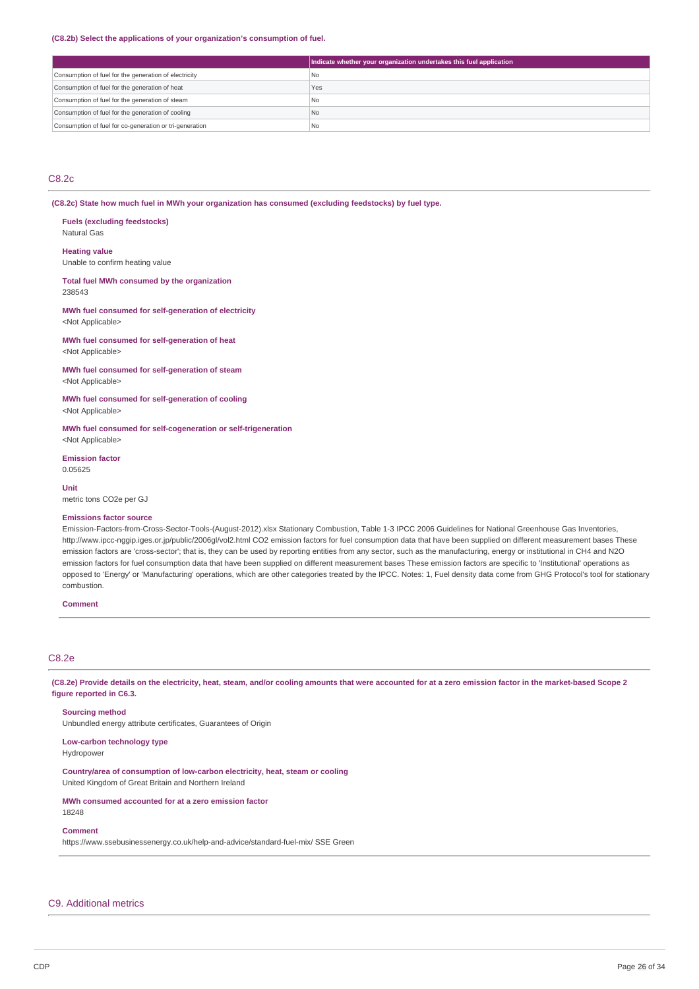#### **(C8.2b) Select the applications of your organization's consumption of fuel.**

|                                                         | Indicate whether your organization undertakes this fuel application |
|---------------------------------------------------------|---------------------------------------------------------------------|
| Consumption of fuel for the generation of electricity   | I No                                                                |
| Consumption of fuel for the generation of heat          | Yes                                                                 |
| Consumption of fuel for the generation of steam         | l No                                                                |
| Consumption of fuel for the generation of cooling       | <b>No</b>                                                           |
| Consumption of fuel for co-generation or tri-generation | l No                                                                |

# C8.2c

**(C8.2c) State how much fuel in MWh your organization has consumed (excluding feedstocks) by fuel type.**

**Fuels (excluding feedstocks)** Natural Gas

#### **Heating value**

Unable to confirm heating value

**Total fuel MWh consumed by the organization** 238543

### **MWh fuel consumed for self-generation of electricity** <Not Applicable>

**MWh fuel consumed for self-generation of heat** <Not Applicable>

**MWh fuel consumed for self-generation of steam** <Not Applicable>

**MWh fuel consumed for self-generation of cooling** <Not Applicable>

**MWh fuel consumed for self-cogeneration or self-trigeneration** <Not Applicable>

**Emission factor** 0.05625

**Unit** metric tons CO2e per GJ

### **Emissions factor source**

Emission-Factors-from-Cross-Sector-Tools-(August-2012).xlsx Stationary Combustion, Table 1-3 IPCC 2006 Guidelines for National Greenhouse Gas Inventories, http://www.ipcc-nggip.iges.or.jp/public/2006gl/vol2.html CO2 emission factors for fuel consumption data that have been supplied on different measurement bases These emission factors are 'cross-sector'; that is, they can be used by reporting entities from any sector, such as the manufacturing, energy or institutional in CH4 and N2O emission factors for fuel consumption data that have been supplied on different measurement bases These emission factors are specific to 'Institutional' operations as opposed to 'Energy' or 'Manufacturing' operations, which are other categories treated by the IPCC. Notes: 1, Fuel density data come from GHG Protocol's tool for stationary combustion.

# **Comment**

# C8.2e

(C8.2e) Provide details on the electricity, heat, steam, and/or cooling amounts that were accounted for at a zero emission factor in the market-based Scope 2 **figure reported in C6.3.**

## **Sourcing method**

Unbundled energy attribute certificates, Guarantees of Origin

#### **Low-carbon technology type** Hydropower

**Country/area of consumption of low-carbon electricity, heat, steam or cooling** United Kingdom of Great Britain and Northern Ireland

**MWh consumed accounted for at a zero emission factor** 18248

### **Comment**

https://www.ssebusinessenergy.co.uk/help-and-advice/standard-fuel-mix/ SSE Green

# C9. Additional metrics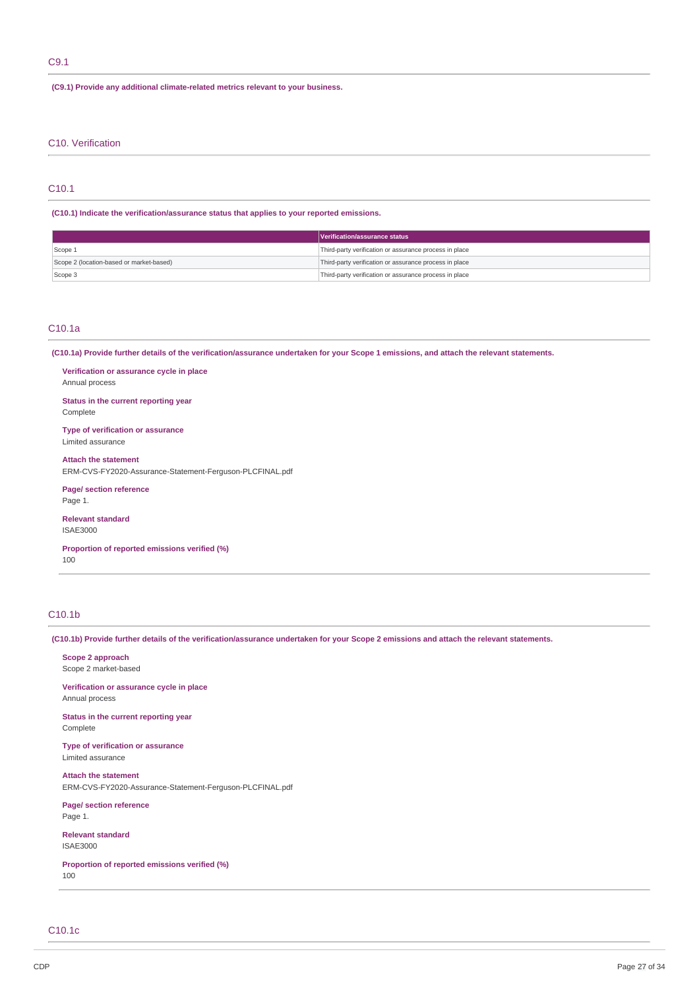# C9.1

**(C9.1) Provide any additional climate-related metrics relevant to your business.**

## C10. Verification

# C10.1

**(C10.1) Indicate the verification/assurance status that applies to your reported emissions.**

|                                          | Verification/assurance status                          |
|------------------------------------------|--------------------------------------------------------|
| Scope 1                                  | Third-party verification or assurance process in place |
| Scope 2 (location-based or market-based) | Third-party verification or assurance process in place |
| Scope 3                                  | Third-party verification or assurance process in place |

# C10.1a

(C10.1a) Provide further details of the verification/assurance undertaken for your Scope 1 emissions, and attach the relevant statements.

**Verification or assurance cycle in place** Annual process

**Status in the current reporting year** Complete

**Type of verification or assurance** Limited assurance

**Attach the statement** ERM-CVS-FY2020-Assurance-Statement-Ferguson-PLCFINAL.pdf

**Page/ section reference** Page 1.

**Relevant standard** ISAE3000

**Proportion of reported emissions verified (%)** 100

# C10.1b

(C10.1b) Provide further details of the verification/assurance undertaken for your Scope 2 emissions and attach the relevant statements.

**Scope 2 approach** Scope 2 market-based

**Verification or assurance cycle in place** Annual process

**Status in the current reporting year** Complete

**Type of verification or assurance** Limited assurance

**Attach the statement** ERM-CVS-FY2020-Assurance-Statement-Ferguson-PLCFINAL.pdf

**Page/ section reference** Page 1.

**Relevant standard** ISAE3000

**Proportion of reported emissions verified (%)** 100

C10.1c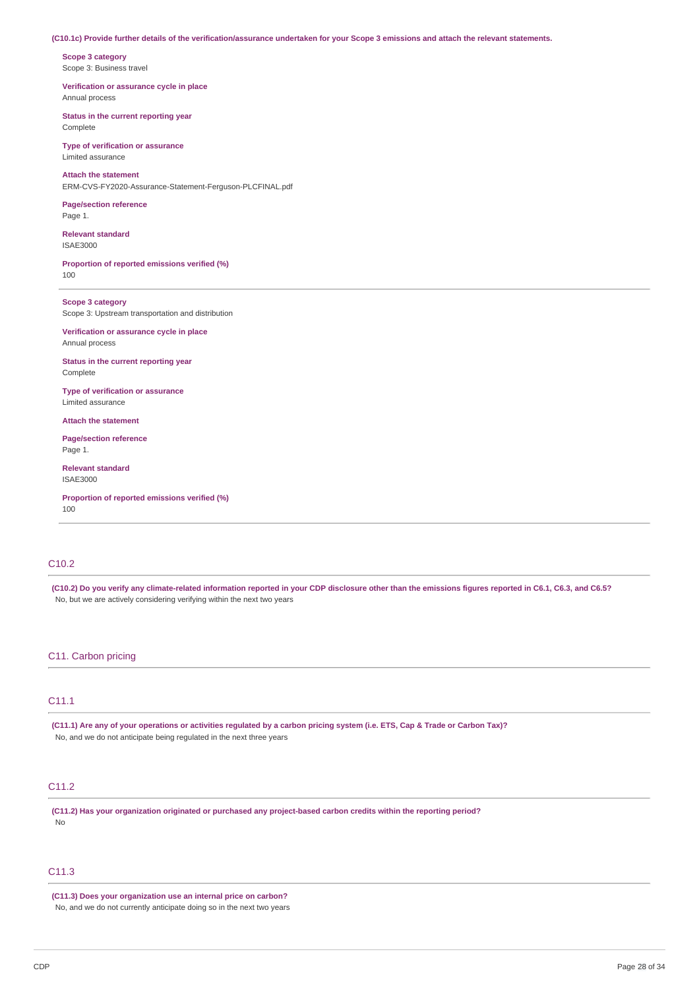### (C10.1c) Provide further details of the verification/assurance undertaken for your Scope 3 emissions and attach the relevant statements.

**Scope 3 category** Scope 3: Business travel

**Verification or assurance cycle in place** Annual process

**Status in the current reporting year** Complete

**Type of verification or assurance** Limited assurance

# **Attach the statement** ERM-CVS-FY2020-Assurance-Statement-Ferguson-PLCFINAL.pdf

**Page/section reference** Page 1.

**Relevant standard** ISAE3000

**Proportion of reported emissions verified (%)** 100

**Scope 3 category** Scope 3: Upstream transportation and distribution

**Verification or assurance cycle in place** Annual process

**Status in the current reporting year** Complete

**Type of verification or assurance** Limited assurance

**Attach the statement**

**Page/section reference** Page 1.

**Relevant standard** ISAE3000

**Proportion of reported emissions verified (%)** 100

# C10.2

(C10.2) Do you verify any climate-related information reported in your CDP disclosure other than the emissions figures reported in C6.1, C6.3, and C6.5? No, but we are actively considering verifying within the next two years

# C11. Carbon pricing

# C11.1

(C11.1) Are any of your operations or activities regulated by a carbon pricing system (i.e. ETS, Cap & Trade or Carbon Tax)? No, and we do not anticipate being regulated in the next three years

# C11.2

**(C11.2) Has your organization originated or purchased any project-based carbon credits within the reporting period?** No

# C11.3

**(C11.3) Does your organization use an internal price on carbon?** No, and we do not currently anticipate doing so in the next two years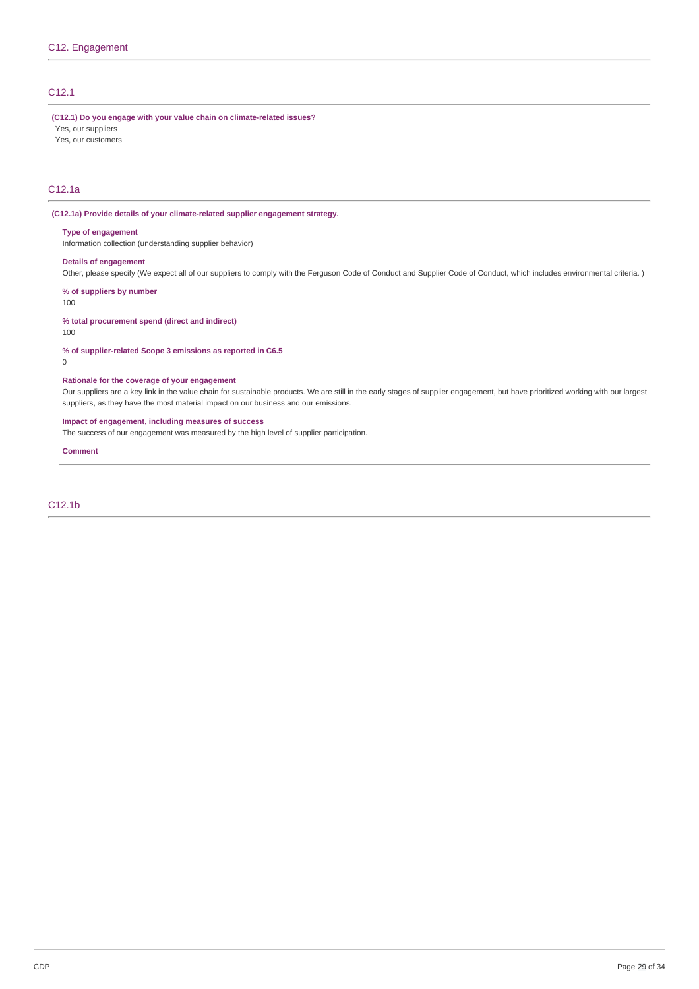# C12.1

**(C12.1) Do you engage with your value chain on climate-related issues?**

Yes, our suppliers

Yes, our customers

# C12.1a

### **(C12.1a) Provide details of your climate-related supplier engagement strategy.**

#### **Type of engagement**

Information collection (understanding supplier behavior)

# **Details of engagement**

Other, please specify (We expect all of our suppliers to comply with the Ferguson Code of Conduct and Supplier Code of Conduct, which includes environmental criteria. )

**% of suppliers by number**

100

# **% total procurement spend (direct and indirect)**

100

### **% of supplier-related Scope 3 emissions as reported in C6.5**

0

# **Rationale for the coverage of your engagement**

Our suppliers are a key link in the value chain for sustainable products. We are still in the early stages of supplier engagement, but have prioritized working with our largest suppliers, as they have the most material impact on our business and our emissions.

# **Impact of engagement, including measures of success**

The success of our engagement was measured by the high level of supplier participation.

#### **Comment**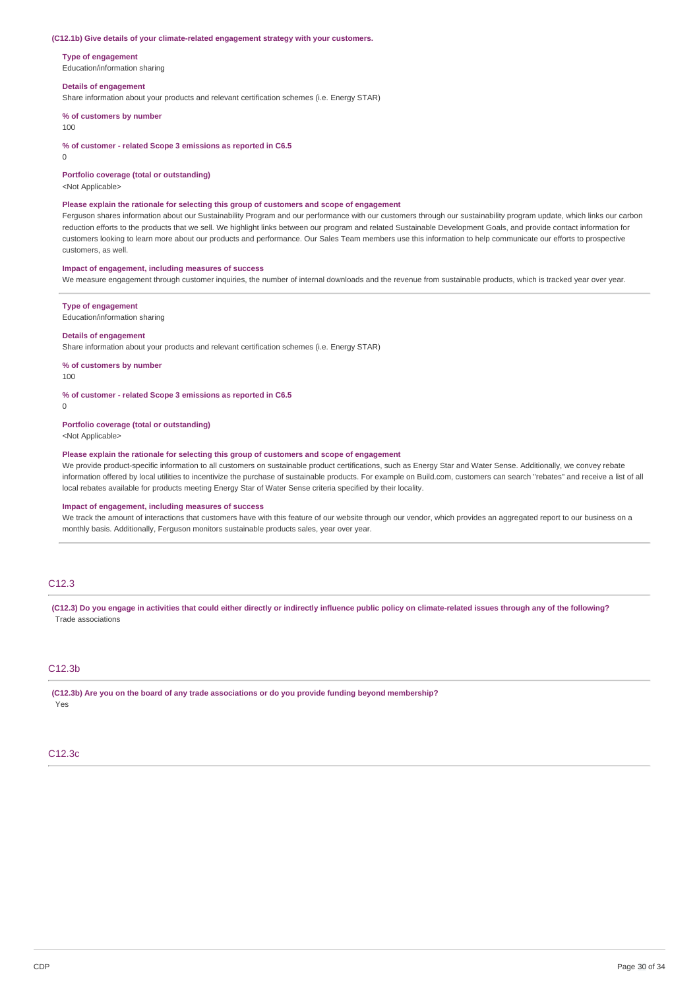#### **(C12.1b) Give details of your climate-related engagement strategy with your customers.**

**Type of engagement**

Education/information sharing

### **Details of engagement**

Share information about your products and relevant certification schemes (i.e. Energy STAR)

**% of customers by number**

### 100

**% of customer - related Scope 3 emissions as reported in C6.5**

 $\Omega$ 

**Portfolio coverage (total or outstanding)**

<Not Applicable>

#### **Please explain the rationale for selecting this group of customers and scope of engagement**

Ferguson shares information about our Sustainability Program and our performance with our customers through our sustainability program update, which links our carbon reduction efforts to the products that we sell. We highlight links between our program and related Sustainable Development Goals, and provide contact information for customers looking to learn more about our products and performance. Our Sales Team members use this information to help communicate our efforts to prospective customers, as well.

### **Impact of engagement, including measures of success**

We measure engagement through customer inquiries, the number of internal downloads and the revenue from sustainable products, which is tracked year over year.

#### **Type of engagement**

Education/information sharing

### **Details of engagement**

Share information about your products and relevant certification schemes (i.e. Energy STAR)

**% of customers by number**

100

### **% of customer - related Scope 3 emissions as reported in C6.5**

0

### **Portfolio coverage (total or outstanding)**

<Not Applicable>

# **Please explain the rationale for selecting this group of customers and scope of engagement**

We provide product-specific information to all customers on sustainable product certifications, such as Energy Star and Water Sense. Additionally, we convey rebate information offered by local utilities to incentivize the purchase of sustainable products. For example on Build.com, customers can search "rebates" and receive a list of all local rebates available for products meeting Energy Star of Water Sense criteria specified by their locality.

### **Impact of engagement, including measures of success**

We track the amount of interactions that customers have with this feature of our website through our vendor, which provides an aggregated report to our business on a monthly basis. Additionally, Ferguson monitors sustainable products sales, year over year.

# C12.3

(C12.3) Do you engage in activities that could either directly or indirectly influence public policy on climate-related issues through any of the following? Trade associations

# C12.3b

**(C12.3b) Are you on the board of any trade associations or do you provide funding beyond membership?** Yes

#### C12.3c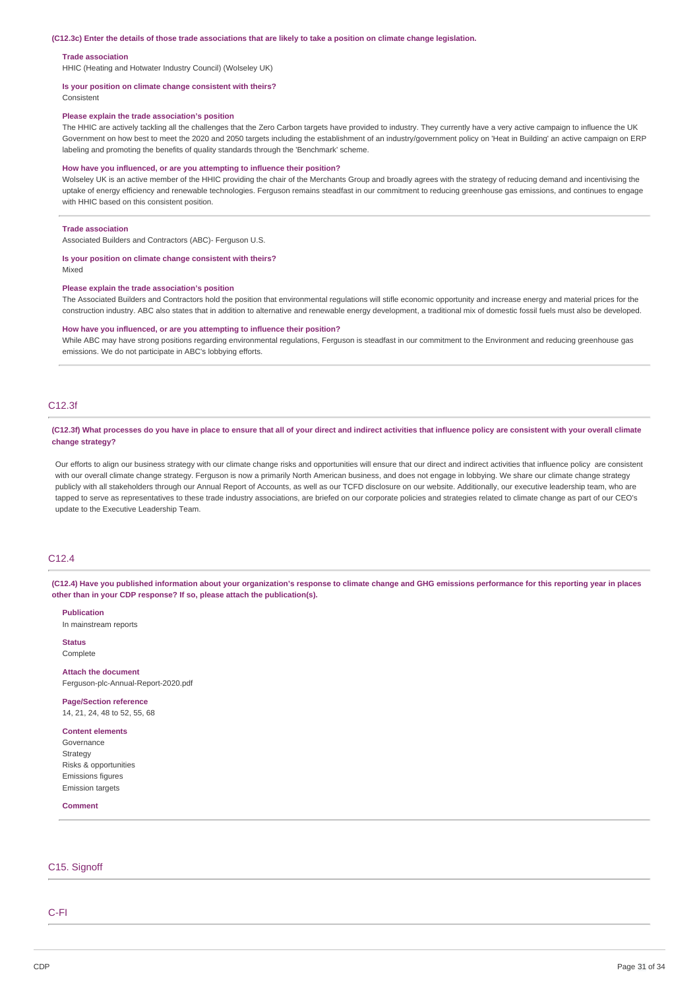#### (C12.3c) Enter the details of those trade associations that are likely to take a position on climate change legislation.

#### **Trade association**

HHIC (Heating and Hotwater Industry Council) (Wolseley UK)

#### **Is your position on climate change consistent with theirs?**

Consistent

#### **Please explain the trade association's position**

The HHIC are actively tackling all the challenges that the Zero Carbon targets have provided to industry. They currently have a very active campaign to influence the UK Government on how best to meet the 2020 and 2050 targets including the establishment of an industry/government policy on 'Heat in Building' an active campaign on ERP labeling and promoting the benefits of quality standards through the 'Benchmark' scheme.

#### **How have you influenced, or are you attempting to influence their position?**

Wolseley UK is an active member of the HHIC providing the chair of the Merchants Group and broadly agrees with the strategy of reducing demand and incentivising the uptake of energy efficiency and renewable technologies. Ferguson remains steadfast in our commitment to reducing greenhouse gas emissions, and continues to engage with HHIC based on this consistent position.

### **Trade association**

Associated Builders and Contractors (ABC)- Ferguson U.S.

# **Is your position on climate change consistent with theirs?**

Mixed

### **Please explain the trade association's position**

The Associated Builders and Contractors hold the position that environmental regulations will stifle economic opportunity and increase energy and material prices for the construction industry. ABC also states that in addition to alternative and renewable energy development, a traditional mix of domestic fossil fuels must also be developed.

### **How have you influenced, or are you attempting to influence their position?**

While ABC may have strong positions regarding environmental regulations, Ferguson is steadfast in our commitment to the Environment and reducing greenhouse gas emissions. We do not participate in ABC's lobbying efforts.

# C12.3f

### (C12.3f) What processes do you have in place to ensure that all of your direct and indirect activities that influence policy are consistent with your overall climate **change strategy?**

Our efforts to align our business strategy with our climate change risks and opportunities will ensure that our direct and indirect activities that influence policy are consistent with our overall climate change strategy. Ferguson is now a primarily North American business, and does not engage in lobbying. We share our climate change strategy publicly with all stakeholders through our Annual Report of Accounts, as well as our TCFD disclosure on our website. Additionally, our executive leadership team, who are tapped to serve as representatives to these trade industry associations, are briefed on our corporate policies and strategies related to climate change as part of our CEO's update to the Executive Leadership Team.

# C12.4

(C12.4) Have you published information about your organization's response to climate change and GHG emissions performance for this reporting year in places **other than in your CDP response? If so, please attach the publication(s).**

**Publication** In mainstream reports

**Status** Complete

**Attach the document** Ferguson-plc-Annual-Report-2020.pdf

**Page/Section reference** 14, 21, 24, 48 to 52, 55, 68

**Content elements** Governance Strategy Risks & opportunities Emissions figures Emission targets

**Comment**

# C15. Signoff

C-FI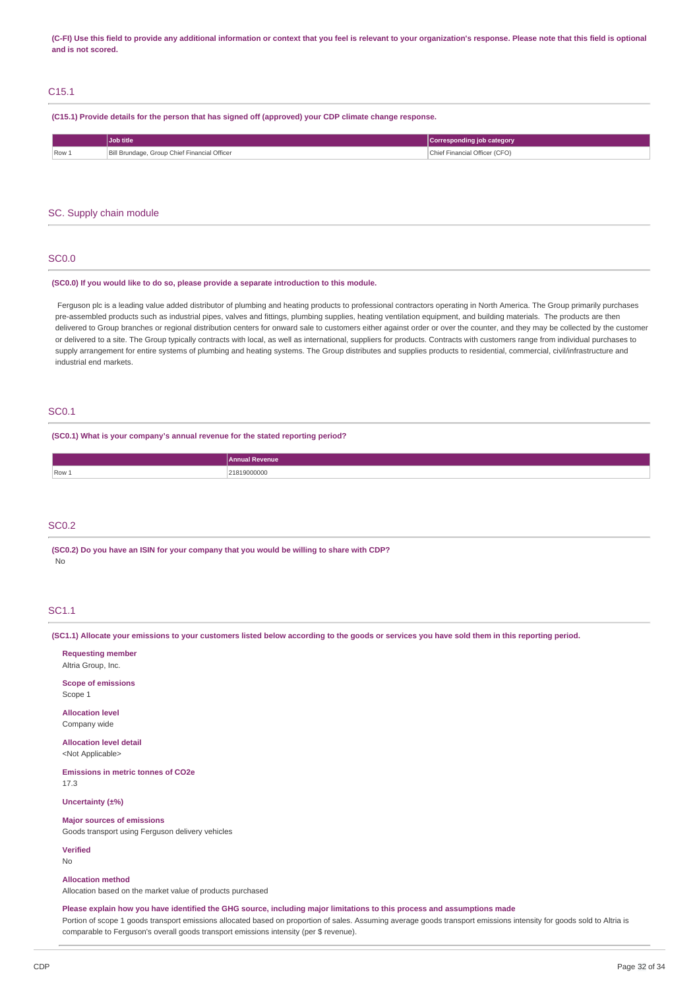(C-FI) Use this field to provide any additional information or context that you feel is relevant to your organization's response. Please note that this field is optional **and is not scored.**

# C15.1

**(C15.1) Provide details for the person that has signed off (approved) your CDP climate change response.**

| Chief Financial Officer (CFO) |         | Job title                                    | Corresponding job category |
|-------------------------------|---------|----------------------------------------------|----------------------------|
|                               | $Row_1$ | Bill Brundage, Group Chief Financial Officer |                            |

### SC. Supply chain module

## SC0.0

### **(SC0.0) If you would like to do so, please provide a separate introduction to this module.**

Ferguson plc is a leading value added distributor of plumbing and heating products to professional contractors operating in North America. The Group primarily purchases pre-assembled products such as industrial pipes, valves and fittings, plumbing supplies, heating ventilation equipment, and building materials. The products are then delivered to Group branches or regional distribution centers for onward sale to customers either against order or over the counter, and they may be collected by the customer or delivered to a site. The Group typically contracts with local, as well as international, suppliers for products. Contracts with customers range from individual purchases to supply arrangement for entire systems of plumbing and heating systems. The Group distributes and supplies products to residential, commercial, civil/infrastructure and industrial end markets.

### SC0.1

**(SC0.1) What is your company's annual revenue for the stated reporting period?**

|       | enu              |
|-------|------------------|
| Row 1 | . OOOS<br>.<br>. |

# SC<sub>0.2</sub>

**(SC0.2) Do you have an ISIN for your company that you would be willing to share with CDP?** No

# SC1.1

(SC1.1) Allocate your emissions to your customers listed below according to the goods or services you have sold them in this reporting period.

**Requesting member** Altria Group, Inc.

**Scope of emissions** Scope 1

**Allocation level** Company wide

**Allocation level detail**

<Not Applicable>

**Emissions in metric tonnes of CO2e** 17.3

**Uncertainty (±%)**

### **Major sources of emissions**

Goods transport using Ferguson delivery vehicles

**Verified**

No

### **Allocation method**

Allocation based on the market value of products purchased

Please explain how you have identified the GHG source, including major limitations to this process and assumptions made

Portion of scope 1 goods transport emissions allocated based on proportion of sales. Assuming average goods transport emissions intensity for goods sold to Altria is comparable to Ferguson's overall goods transport emissions intensity (per \$ revenue).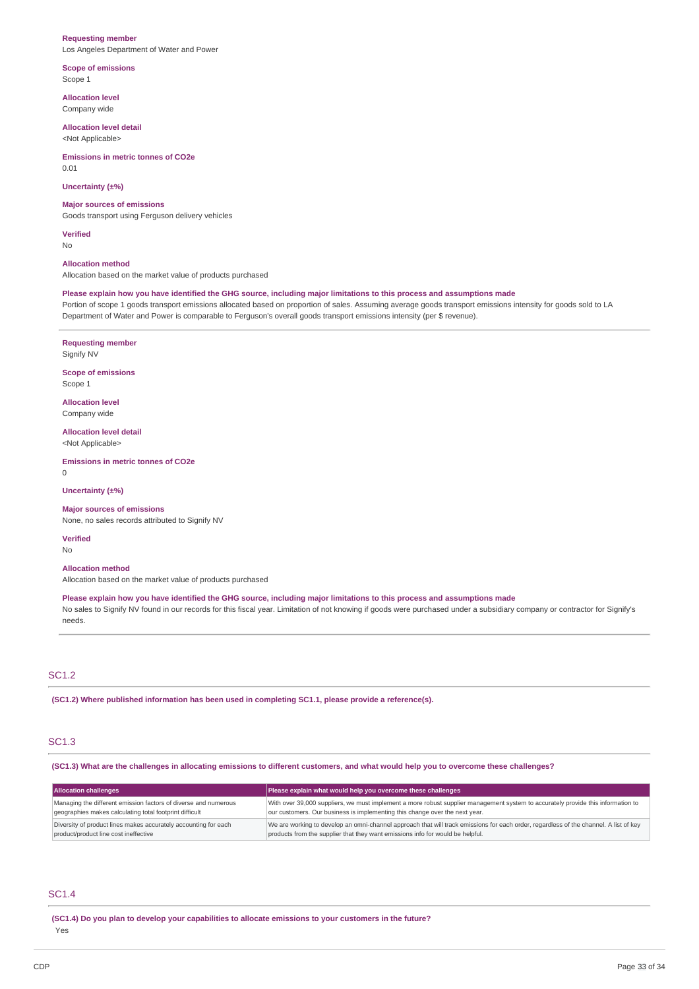#### **Requesting member**

Los Angeles Department of Water and Power

### **Scope of emissions** Scope 1

**Allocation level** Company wide

**Allocation level detail** <Not Applicable>

# **Emissions in metric tonnes of CO2e**

0.01

# **Uncertainty (±%)**

### **Major sources of emissions**

Goods transport using Ferguson delivery vehicles

**Verified**

No

# **Allocation method**

Allocation based on the market value of products purchased

# Please explain how you have identified the GHG source, including major limitations to this process and assumptions made

Portion of scope 1 goods transport emissions allocated based on proportion of sales. Assuming average goods transport emissions intensity for goods sold to LA Department of Water and Power is comparable to Ferguson's overall goods transport emissions intensity (per \$ revenue).

# **Requesting member**

Signify NV

**Scope of emissions** Scope 1

**Allocation level** Company wide

**Allocation level detail** <Not Applicable>

**Emissions in metric tonnes of CO2e**  $\Omega$ 

**Uncertainty (±%)**

### **Major sources of emissions**

None, no sales records attributed to Signify NV

**Verified** No

#### **Allocation method**

Allocation based on the market value of products purchased

Please explain how you have identified the GHG source, including major limitations to this process and assumptions made

No sales to Signify NV found in our records for this fiscal year. Limitation of not knowing if goods were purchased under a subsidiary company or contractor for Signify's needs.

# SC1.2

**(SC1.2) Where published information has been used in completing SC1.1, please provide a reference(s).**

# SC1.3

(SC1.3) What are the challenges in allocating emissions to different customers, and what would help you to overcome these challenges?

| <b>Allocation challenges</b>                                    | Please explain what would help you overcome these challenges                                                                          |
|-----------------------------------------------------------------|---------------------------------------------------------------------------------------------------------------------------------------|
| Managing the different emission factors of diverse and numerous | With over 39,000 suppliers, we must implement a more robust supplier management system to accurately provide this information to      |
| geographies makes calculating total footprint difficult         | our customers. Our business is implementing this change over the next year.                                                           |
| Diversity of product lines makes accurately accounting for each | We are working to develop an omni-channel approach that will track emissions for each order, regardless of the channel. A list of key |
| product/product line cost ineffective                           | products from the supplier that they want emissions info for would be helpful.                                                        |

# SC1.4

**(SC1.4) Do you plan to develop your capabilities to allocate emissions to your customers in the future?** Yes